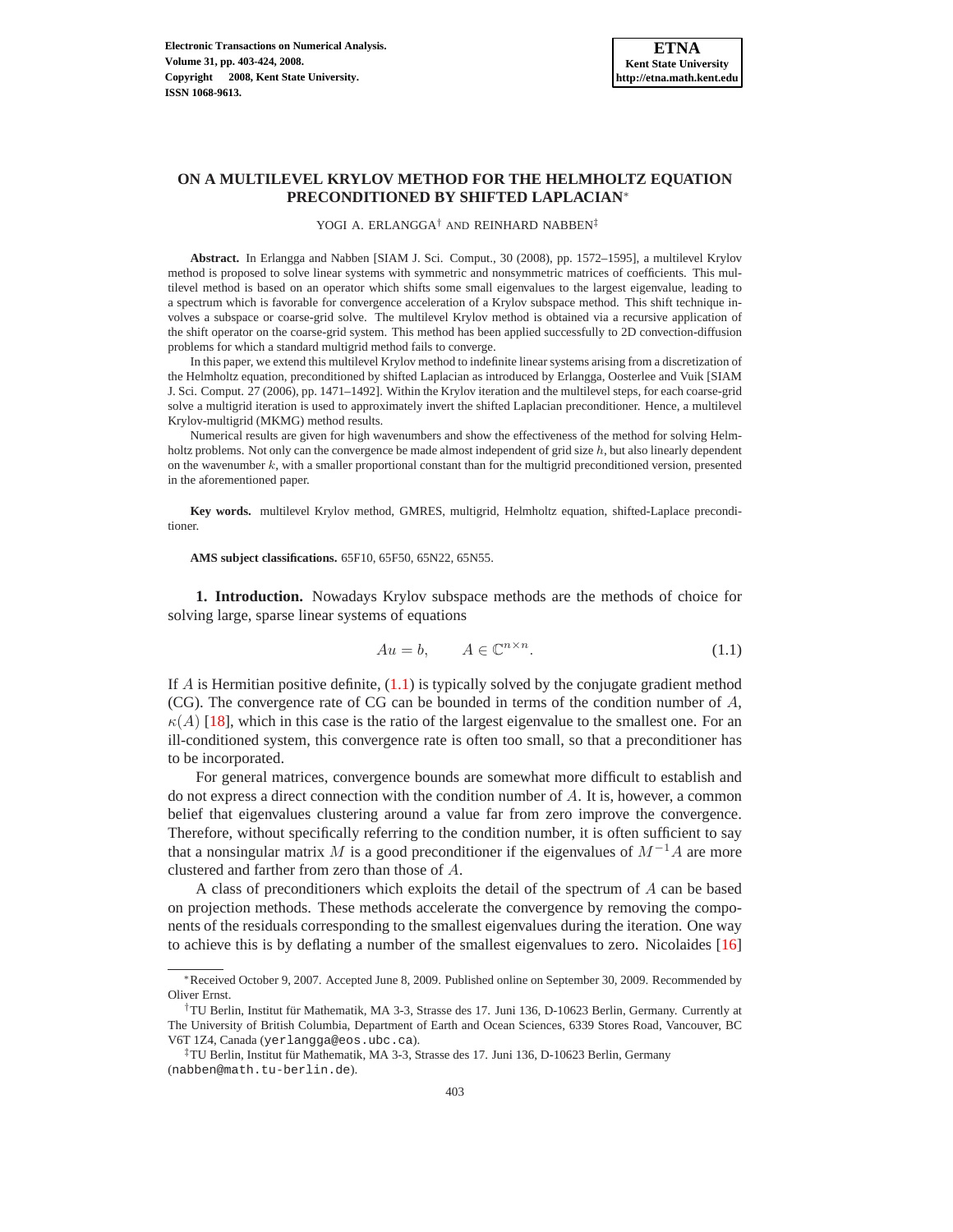# **ON A MULTILEVEL KRYLOV METHOD FOR THE HELMHOLTZ EQUATION PRECONDITIONED BY SHIFTED LAPLACIAN**<sup>∗</sup>

#### YOGI A. ERLANGGA† AND REINHARD NABBEN‡

**Abstract.** In Erlangga and Nabben [SIAM J. Sci. Comput., 30 (2008), pp. 1572–1595], a multilevel Krylov method is proposed to solve linear systems with symmetric and nonsymmetric matrices of coefficients. This multilevel method is based on an operator which shifts some small eigenvalues to the largest eigenvalue, leading to a spectrum which is favorable for convergence acceleration of a Krylov subspace method. This shift technique involves a subspace or coarse-grid solve. The multilevel Krylov method is obtained via a recursive application of the shift operator on the coarse-grid system. This method has been applied successfully to 2D convection-diffusion problems for which a standard multigrid method fails to converge.

In this paper, we extend this multilevel Krylov method to indefinite linear systems arising from a discretization of the Helmholtz equation, preconditioned by shifted Laplacian as introduced by Erlangga, Oosterlee and Vuik [SIAM J. Sci. Comput. 27 (2006), pp. 1471–1492]. Within the Krylov iteration and the multilevel steps, for each coarse-grid solve a multigrid iteration is used to approximately invert the shifted Laplacian preconditioner. Hence, a multilevel Krylov-multigrid (MKMG) method results.

Numerical results are given for high wavenumbers and show the effectiveness of the method for solving Helmholtz problems. Not only can the convergence be made almost independent of grid size h, but also linearly dependent on the wavenumber  $k$ , with a smaller proportional constant than for the multigrid preconditioned version, presented in the aforementioned paper.

**Key words.** multilevel Krylov method, GMRES, multigrid, Helmholtz equation, shifted-Laplace preconditioner.

**AMS subject classifications.** 65F10, 65F50, 65N22, 65N55.

<span id="page-0-1"></span>**1. Introduction.** Nowadays Krylov subspace methods are the methods of choice for solving large, sparse linear systems of equations

$$
Au = b, \qquad A \in \mathbb{C}^{n \times n}.
$$
 (1.1)

<span id="page-0-0"></span>If  $\vec{A}$  is Hermitian positive definite, [\(1.1\)](#page-0-0) is typically solved by the conjugate gradient method (CG). The convergence rate of CG can be bounded in terms of the condition number of A,  $\kappa(A)$  [\[18\]](#page-21-0), which in this case is the ratio of the largest eigenvalue to the smallest one. For an ill-conditioned system, this convergence rate is often too small, so that a preconditioner has to be incorporated.

For general matrices, convergence bounds are somewhat more difficult to establish and do not express a direct connection with the condition number of A. It is, however, a common belief that eigenvalues clustering around a value far from zero improve the convergence. Therefore, without specifically referring to the condition number, it is often sufficient to say that a nonsingular matrix M is a good preconditioner if the eigenvalues of  $M^{-1}A$  are more clustered and farther from zero than those of A.

A class of preconditioners which exploits the detail of the spectrum of A can be based on projection methods. These methods accelerate the convergence by removing the components of the residuals corresponding to the smallest eigenvalues during the iteration. One way to achieve this is by deflating a number of the smallest eigenvalues to zero. Nicolaides [\[16\]](#page-21-1)

<sup>∗</sup>Received October 9, 2007. Accepted June 8, 2009. Published online on September 30, 2009. Recommended by Oliver Ernst.

<sup>†</sup>TU Berlin, Institut für Mathematik, MA 3-3, Strasse des 17. Juni 136, D-10623 Berlin, Germany. Currently at The University of British Columbia, Department of Earth and Ocean Sciences, 6339 Stores Road, Vancouver, BC V6T 1Z4, Canada (yerlangga@eos.ubc.ca).

 ${}^{\ddagger}$ TU Berlin, Institut für Mathematik, MA 3-3, Strasse des 17. Juni 136, D-10623 Berlin, Germany (nabben@math.tu-berlin.de).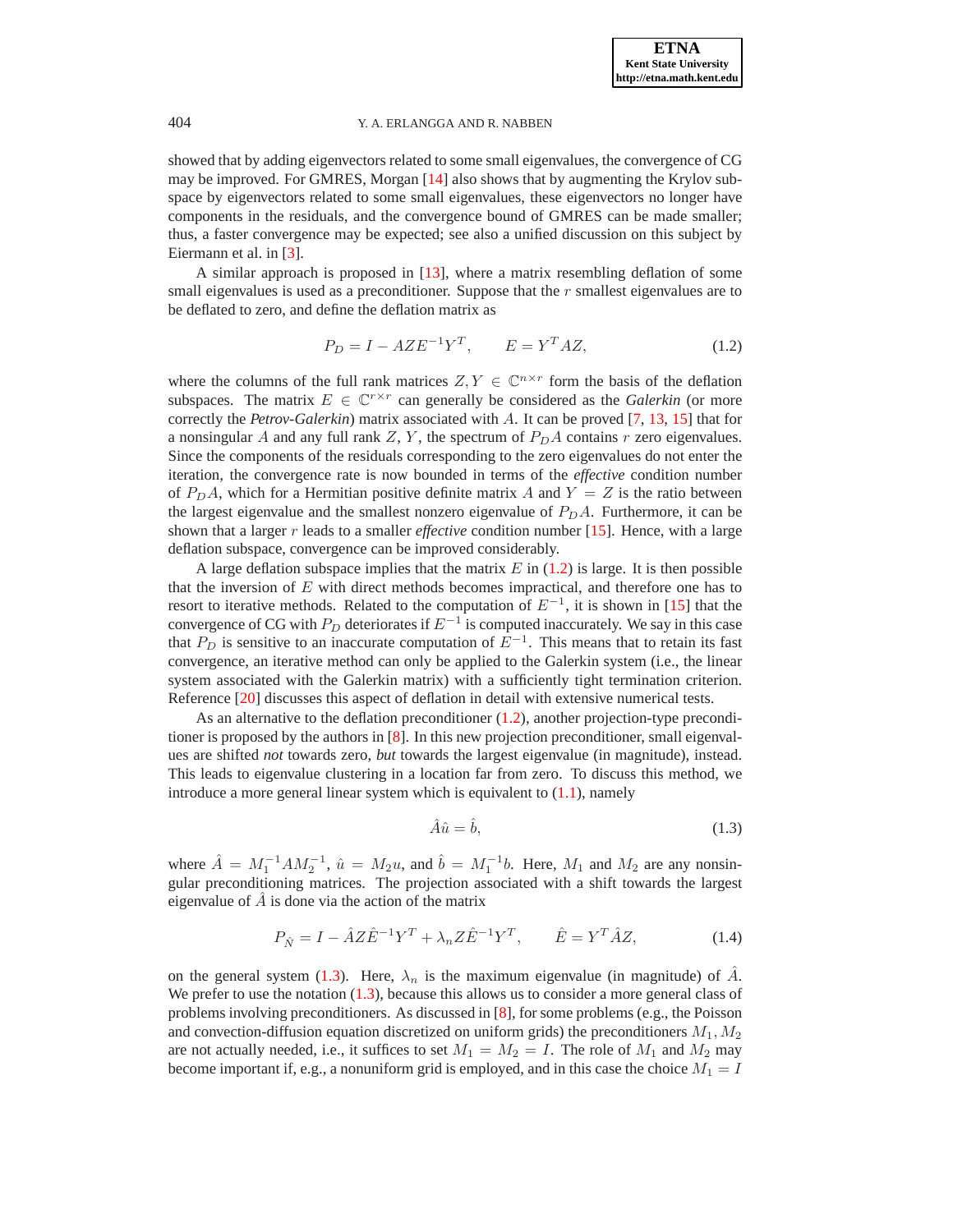showed that by adding eigenvectors related to some small eigenvalues, the convergence of CG may be improved. For GMRES, Morgan [\[14\]](#page-21-2) also shows that by augmenting the Krylov subspace by eigenvectors related to some small eigenvalues, these eigenvectors no longer have components in the residuals, and the convergence bound of GMRES can be made smaller; thus, a faster convergence may be expected; see also a unified discussion on this subject by Eiermann et al. in [\[3\]](#page-20-0).

A similar approach is proposed in [\[13\]](#page-21-3), where a matrix resembling deflation of some small eigenvalues is used as a preconditioner. Suppose that the  $r$  smallest eigenvalues are to be deflated to zero, and define the deflation matrix as

$$
P_D = I - A Z E^{-1} Y^T, \qquad E = Y^T A Z,\tag{1.2}
$$

<span id="page-1-0"></span>where the columns of the full rank matrices  $Z, Y \in \mathbb{C}^{n \times r}$  form the basis of the deflation subspaces. The matrix  $E \in \mathbb{C}^{r \times r}$  can generally be considered as the *Galerkin* (or more correctly the *Petrov-Galerkin*) matrix associated with A. It can be proved [\[7,](#page-20-1) [13,](#page-21-3) [15\]](#page-21-4) that for a nonsingular A and any full rank  $Z$ , Y, the spectrum of  $P<sub>D</sub>A$  contains r zero eigenvalues. Since the components of the residuals corresponding to the zero eigenvalues do not enter the iteration, the convergence rate is now bounded in terms of the *effective* condition number of  $P<sub>D</sub>A$ , which for a Hermitian positive definite matrix A and  $Y = Z$  is the ratio between the largest eigenvalue and the smallest nonzero eigenvalue of  $P_D A$ . Furthermore, it can be shown that a larger  $r$  leads to a smaller *effective* condition number [\[15\]](#page-21-4). Hence, with a large deflation subspace, convergence can be improved considerably.

A large deflation subspace implies that the matrix  $E$  in [\(1.2\)](#page-1-0) is large. It is then possible that the inversion of  $E$  with direct methods becomes impractical, and therefore one has to resort to iterative methods. Related to the computation of  $E^{-1}$ , it is shown in [\[15\]](#page-21-4) that the convergence of CG with  $P_D$  deteriorates if  $E^{-1}$  is computed inaccurately. We say in this case that  $P_D$  is sensitive to an inaccurate computation of  $E^{-1}$ . This means that to retain its fast convergence, an iterative method can only be applied to the Galerkin system (i.e., the linear system associated with the Galerkin matrix) with a sufficiently tight termination criterion. Reference [\[20\]](#page-21-5) discusses this aspect of deflation in detail with extensive numerical tests.

As an alternative to the deflation preconditioner [\(1.2\)](#page-1-0), another projection-type preconditioner is proposed by the authors in [\[8\]](#page-20-2). In this new projection preconditioner, small eigenvalues are shifted *not* towards zero, *but* towards the largest eigenvalue (in magnitude), instead. This leads to eigenvalue clustering in a location far from zero. To discuss this method, we introduce a more general linear system which is equivalent to  $(1.1)$ , namely

<span id="page-1-1"></span>
$$
\hat{A}\hat{u} = \hat{b},\tag{1.3}
$$

where  $\hat{A} = M_1^{-1} A M_2^{-1}$ ,  $\hat{u} = M_2 u$ , and  $\hat{b} = M_1^{-1} b$ . Here,  $M_1$  and  $M_2$  are any nonsingular preconditioning matrices. The projection associated with a shift towards the largest eigenvalue of  $\ddot{A}$  is done via the action of the matrix

$$
P_{\hat{N}} = I - \hat{A}Z\hat{E}^{-1}Y^{T} + \lambda_{n}Z\hat{E}^{-1}Y^{T}, \qquad \hat{E} = Y^{T}\hat{A}Z, \tag{1.4}
$$

<span id="page-1-2"></span>on the general system [\(1.3\)](#page-1-1). Here,  $\lambda_n$  is the maximum eigenvalue (in magnitude) of  $\tilde{A}$ . We prefer to use the notation  $(1.3)$ , because this allows us to consider a more general class of problems involving preconditioners. As discussed in [\[8\]](#page-20-2), for some problems (e.g., the Poisson and convection-diffusion equation discretized on uniform grids) the preconditioners  $M_1, M_2$ are not actually needed, i.e., it suffices to set  $M_1 = M_2 = I$ . The role of  $M_1$  and  $M_2$  may become important if, e.g., a nonuniform grid is employed, and in this case the choice  $M_1 = I$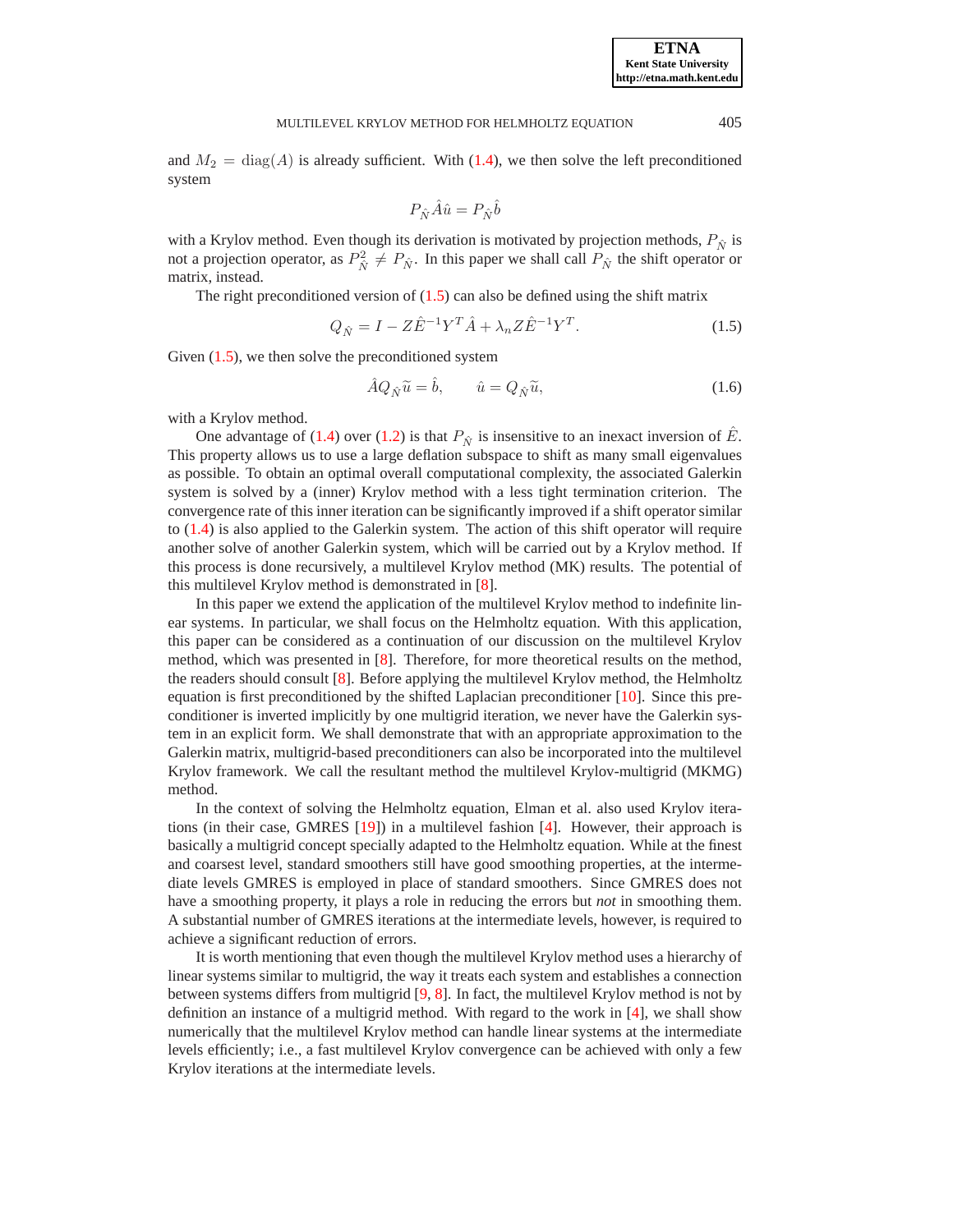and  $M_2 = \text{diag}(A)$  is already sufficient. With [\(1.4\)](#page-1-2), we then solve the left preconditioned system

$$
P_{\hat{N}}\hat{A}\hat{u}=P_{\hat{N}}\hat{b}
$$

with a Krylov method. Even though its derivation is motivated by projection methods,  $P_{\hat{N}}$  is not a projection operator, as  $P_{\hat{N}}^2 \neq P_{\hat{N}}$ . In this paper we shall call  $P_{\hat{N}}$  the shift operator or matrix, instead.

<span id="page-2-0"></span>The right preconditioned version of  $(1.5)$  can also be defined using the shift matrix

$$
Q_{\hat{N}} = I - Z \hat{E}^{-1} Y^T \hat{A} + \lambda_n Z \hat{E}^{-1} Y^T.
$$
 (1.5)

<span id="page-2-1"></span>Given  $(1.5)$ , we then solve the preconditioned system

$$
\hat{A}Q_{\hat{N}}\tilde{u} = \hat{b}, \qquad \hat{u} = Q_{\hat{N}}\tilde{u}, \tag{1.6}
$$

with a Krylov method.

One advantage of [\(1.4\)](#page-1-2) over [\(1.2\)](#page-1-0) is that  $P_{\hat{N}}$  is insensitive to an inexact inversion of E. This property allows us to use a large deflation subspace to shift as many small eigenvalues as possible. To obtain an optimal overall computational complexity, the associated Galerkin system is solved by a (inner) Krylov method with a less tight termination criterion. The convergence rate of this inner iteration can be significantly improved if a shift operator similar to [\(1.4\)](#page-1-2) is also applied to the Galerkin system. The action of this shift operator will require another solve of another Galerkin system, which will be carried out by a Krylov method. If this process is done recursively, a multilevel Krylov method (MK) results. The potential of this multilevel Krylov method is demonstrated in [\[8\]](#page-20-2).

In this paper we extend the application of the multilevel Krylov method to indefinite linear systems. In particular, we shall focus on the Helmholtz equation. With this application, this paper can be considered as a continuation of our discussion on the multilevel Krylov method, which was presented in [\[8\]](#page-20-2). Therefore, for more theoretical results on the method, the readers should consult [\[8\]](#page-20-2). Before applying the multilevel Krylov method, the Helmholtz equation is first preconditioned by the shifted Laplacian preconditioner [\[10\]](#page-21-6). Since this preconditioner is inverted implicitly by one multigrid iteration, we never have the Galerkin system in an explicit form. We shall demonstrate that with an appropriate approximation to the Galerkin matrix, multigrid-based preconditioners can also be incorporated into the multilevel Krylov framework. We call the resultant method the multilevel Krylov-multigrid (MKMG) method.

In the context of solving the Helmholtz equation, Elman et al. also used Krylov iterations (in their case, GMRES [\[19\]](#page-21-7)) in a multilevel fashion [\[4\]](#page-20-3). However, their approach is basically a multigrid concept specially adapted to the Helmholtz equation. While at the finest and coarsest level, standard smoothers still have good smoothing properties, at the intermediate levels GMRES is employed in place of standard smoothers. Since GMRES does not have a smoothing property, it plays a role in reducing the errors but *not* in smoothing them. A substantial number of GMRES iterations at the intermediate levels, however, is required to achieve a significant reduction of errors.

It is worth mentioning that even though the multilevel Krylov method uses a hierarchy of linear systems similar to multigrid, the way it treats each system and establishes a connection between systems differs from multigrid [\[9,](#page-21-8) [8\]](#page-20-2). In fact, the multilevel Krylov method is not by definition an instance of a multigrid method. With regard to the work in [\[4\]](#page-20-3), we shall show numerically that the multilevel Krylov method can handle linear systems at the intermediate levels efficiently; i.e., a fast multilevel Krylov convergence can be achieved with only a few Krylov iterations at the intermediate levels.

**ETNA Kent State University http://etna.math.kent.edu**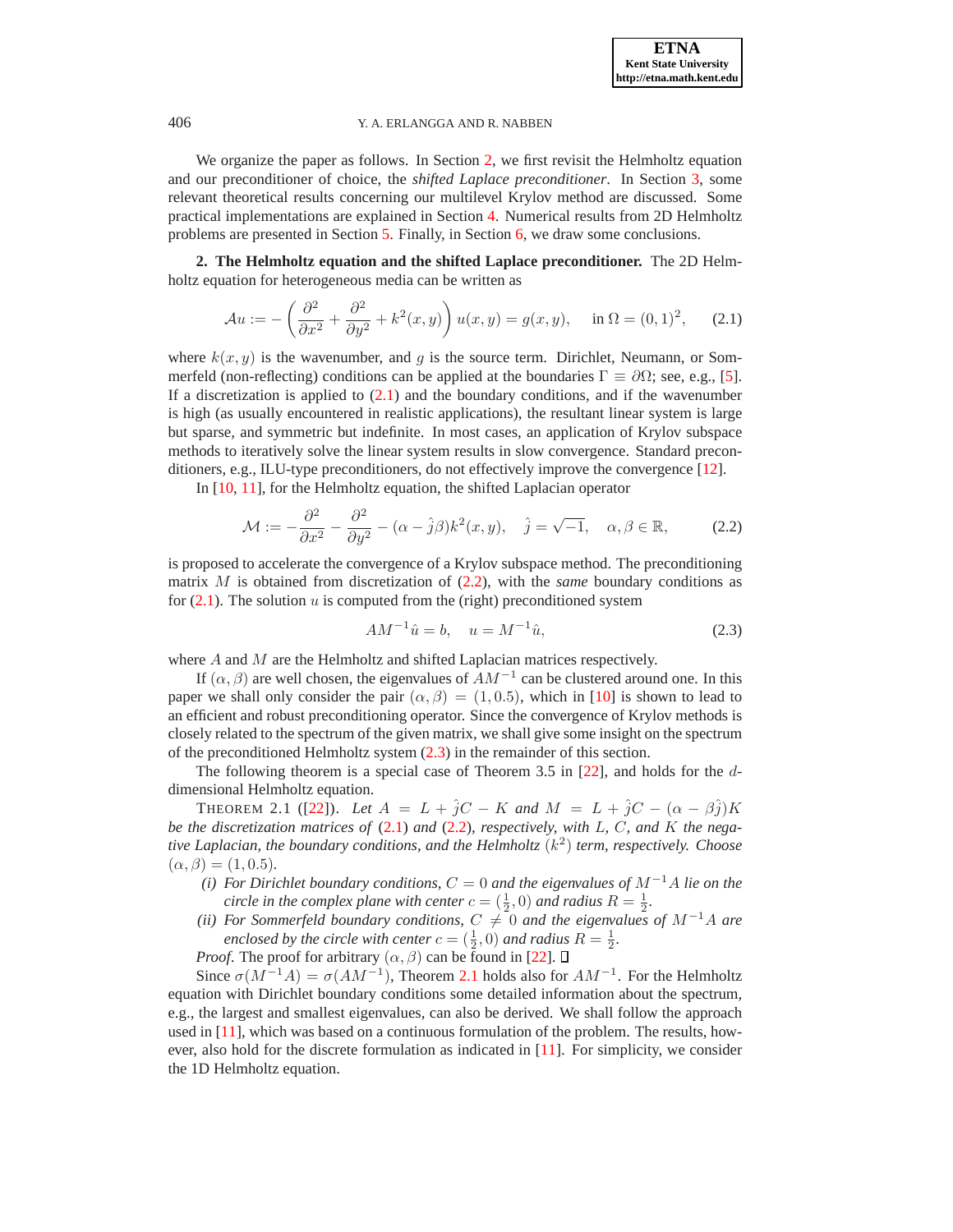We organize the paper as follows. In Section [2,](#page-3-0) we first revisit the Helmholtz equation and our preconditioner of choice, the *shifted Laplace preconditioner*. In Section [3,](#page-4-0) some relevant theoretical results concerning our multilevel Krylov method are discussed. Some practical implementations are explained in Section [4.](#page-8-0) Numerical results from 2D Helmholtz problems are presented in Section [5.](#page-12-0) Finally, in Section [6,](#page-13-0) we draw some conclusions.

<span id="page-3-0"></span>**2. The Helmholtz equation and the shifted Laplace preconditioner.** The 2D Helmholtz equation for heterogeneous media can be written as

$$
\mathcal{A}u := -\left(\frac{\partial^2}{\partial x^2} + \frac{\partial^2}{\partial y^2} + k^2(x, y)\right)u(x, y) = g(x, y), \quad \text{in } \Omega = (0, 1)^2, \tag{2.1}
$$

<span id="page-3-1"></span>where  $k(x, y)$  is the wavenumber, and g is the source term. Dirichlet, Neumann, or Sommerfeld (non-reflecting) conditions can be applied at the boundaries  $\Gamma \equiv \partial \Omega$ ; see, e.g., [\[5\]](#page-20-4). If a discretization is applied to  $(2.1)$  and the boundary conditions, and if the wavenumber is high (as usually encountered in realistic applications), the resultant linear system is large but sparse, and symmetric but indefinite. In most cases, an application of Krylov subspace methods to iteratively solve the linear system results in slow convergence. Standard preconditioners, e.g., ILU-type preconditioners, do not effectively improve the convergence [\[12\]](#page-21-9).

In [\[10,](#page-21-6) [11\]](#page-21-10), for the Helmholtz equation, the shifted Laplacian operator

$$
\mathcal{M} := -\frac{\partial^2}{\partial x^2} - \frac{\partial^2}{\partial y^2} - (\alpha - \hat{j}\beta)k^2(x, y), \quad \hat{j} = \sqrt{-1}, \quad \alpha, \beta \in \mathbb{R}, \tag{2.2}
$$

<span id="page-3-2"></span>is proposed to accelerate the convergence of a Krylov subspace method. The preconditioning matrix M is obtained from discretization of [\(2.2\)](#page-3-2), with the *same* boundary conditions as for  $(2.1)$ . The solution u is computed from the (right) preconditioned system

$$
AM^{-1}\hat{u} = b, \quad u = M^{-1}\hat{u}, \tag{2.3}
$$

<span id="page-3-3"></span>where A and M are the Helmholtz and shifted Laplacian matrices respectively.

If  $(\alpha, \beta)$  are well chosen, the eigenvalues of  $AM^{-1}$  can be clustered around one. In this paper we shall only consider the pair  $(\alpha, \beta) = (1, 0.5)$ , which in [\[10\]](#page-21-6) is shown to lead to an efficient and robust preconditioning operator. Since the convergence of Krylov methods is closely related to the spectrum of the given matrix, we shall give some insight on the spectrum of the preconditioned Helmholtz system [\(2.3\)](#page-3-3) in the remainder of this section.

<span id="page-3-4"></span>The following theorem is a special case of Theorem 3.5 in [\[22\]](#page-21-11), and holds for the ddimensional Helmholtz equation.

THEOREM 2.1 ([\[22\]](#page-21-11)). Let  $A = L + \hat{j}C - K$  and  $M = L + \hat{j}C - (\alpha - \beta \hat{j})K$ *be the discretization matrices of* [\(2.1\)](#page-3-1) *and* [\(2.2\)](#page-3-2)*, respectively, with* L*,* C*, and* K *the negative Laplacian, the boundary conditions, and the Helmholtz* (k 2 ) *term, respectively. Choose*  $(\alpha, \beta) = (1, 0.5)$ .

- *(i) For Dirichlet boundary conditions,*  $C = 0$  *and the eigenvalues of*  $M^{-1}A$  *lie on the circle in the complex plane with center*  $c = (\frac{1}{2}, 0)$  *and radius*  $R = \frac{1}{2}$ .
- *(ii) For Sommerfeld boundary conditions,*  $C \neq 0$  *and the eigenvalues of*  $M^{-1}A$  *are enclosed by the circle with center*  $c = (\frac{1}{2}, 0)$  *and radius*  $R = \frac{1}{2}$ *.*

*Proof.* The proof for arbitrary  $(\alpha, \beta)$  can be found in [\[22\]](#page-21-11).  $\square$ 

Since  $\sigma(M^{-1}A) = \sigma(AM^{-1})$ , Theorem [2.1](#page-3-4) holds also for  $AM^{-1}$ . For the Helmholtz equation with Dirichlet boundary conditions some detailed information about the spectrum, e.g., the largest and smallest eigenvalues, can also be derived. We shall follow the approach used in [\[11\]](#page-21-10), which was based on a continuous formulation of the problem. The results, however, also hold for the discrete formulation as indicated in [\[11\]](#page-21-10). For simplicity, we consider the 1D Helmholtz equation.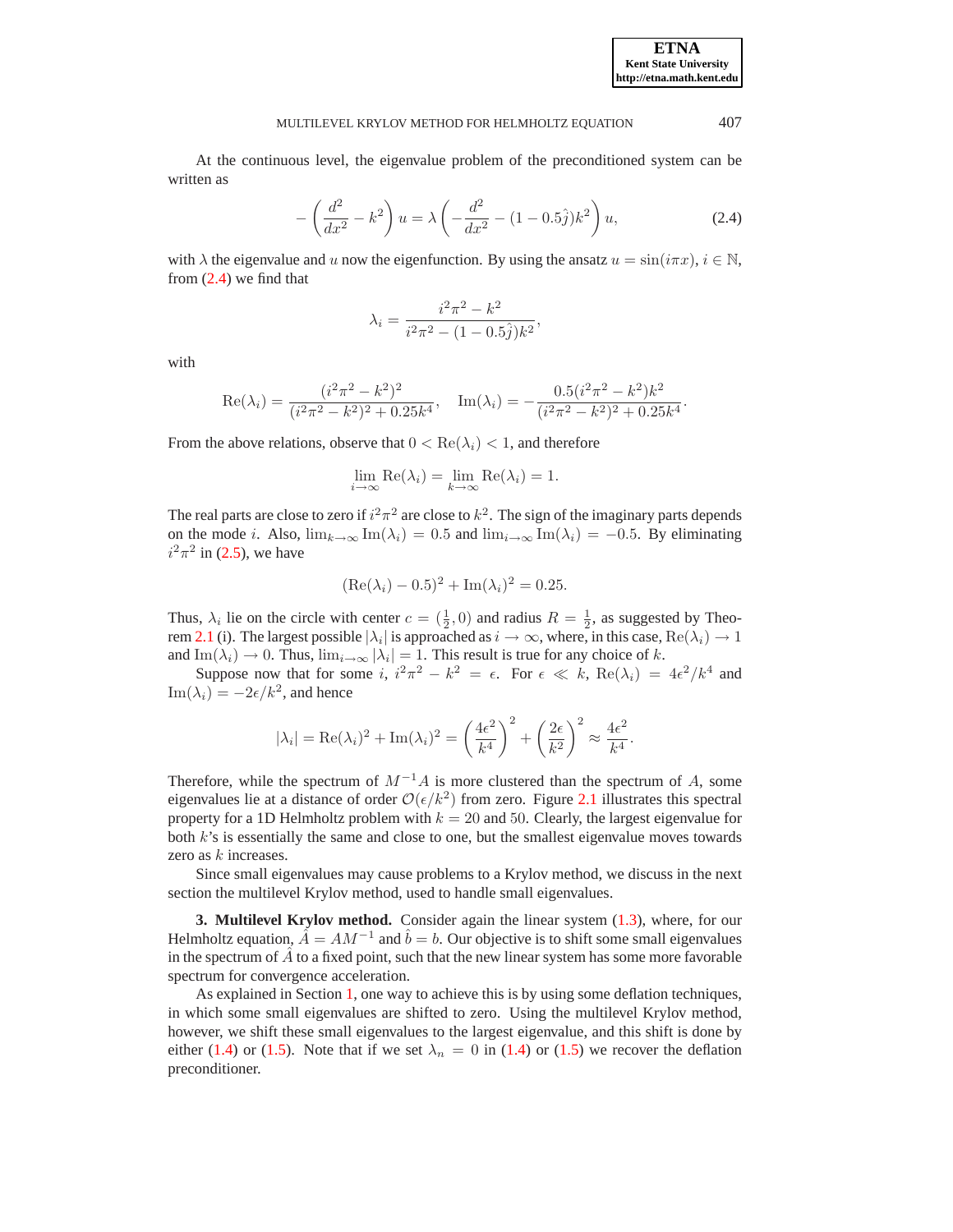At the continuous level, the eigenvalue problem of the preconditioned system can be written as

$$
-\left(\frac{d^2}{dx^2} - k^2\right)u = \lambda \left(-\frac{d^2}{dx^2} - (1 - 0.5\hat{j})k^2\right)u,
$$
\n(2.4)

<span id="page-4-1"></span>with  $\lambda$  the eigenvalue and u now the eigenfunction. By using the ansatz  $u = \sin(i\pi x)$ ,  $i \in \mathbb{N}$ , from  $(2.4)$  we find that

$$
\lambda_i = \frac{i^2 \pi^2 - k^2}{i^2 \pi^2 - (1 - 0.5 \hat{j}) k^2},
$$

with

$$
\operatorname{Re}(\lambda_i) = \frac{(i^2 \pi^2 - k^2)^2}{(i^2 \pi^2 - k^2)^2 + 0.25k^4}, \quad \operatorname{Im}(\lambda_i) = -\frac{0.5(i^2 \pi^2 - k^2)k^2}{(i^2 \pi^2 - k^2)^2 + 0.25k^4}.
$$

From the above relations, observe that  $0 < \text{Re}(\lambda_i) < 1$ , and therefore

$$
\lim_{i \to \infty} \text{Re}(\lambda_i) = \lim_{k \to \infty} \text{Re}(\lambda_i) = 1.
$$

The real parts are close to zero if  $i^2 \pi^2$  are close to  $k^2$ . The sign of the imaginary parts depends on the mode *i*. Also,  $\lim_{k\to\infty} \text{Im}(\lambda_i) = 0.5$  and  $\lim_{i\to\infty} \text{Im}(\lambda_i) = -0.5$ . By eliminating  $i^2 \pi^2$  in (2.5), we have

$$
(\text{Re}(\lambda_i) - 0.5)^2 + \text{Im}(\lambda_i)^2 = 0.25.
$$

Thus,  $\lambda_i$  lie on the circle with center  $c = (\frac{1}{2}, 0)$  and radius  $R = \frac{1}{2}$ , as suggested by Theo-rem [2.1](#page-3-4) (i). The largest possible  $|\lambda_i|$  is approached as  $i \to \infty$ , where, in this case,  $\text{Re}(\lambda_i) \to 1$ and Im( $\lambda_i$ )  $\rightarrow$  0. Thus,  $\lim_{i\rightarrow\infty} |\lambda_i| = 1$ . This result is true for any choice of k.

Suppose now that for some  $i, i^2\pi^2 - k^2 = \epsilon$ . For  $\epsilon \ll k$ ,  $\text{Re}(\lambda_i) = 4\epsilon^2/k^4$  and  $\text{Im}(\lambda_i) = -2\epsilon/k^2$ , and hence

$$
|\lambda_i| = \text{Re}(\lambda_i)^2 + \text{Im}(\lambda_i)^2 = \left(\frac{4\epsilon^2}{k^4}\right)^2 + \left(\frac{2\epsilon}{k^2}\right)^2 \approx \frac{4\epsilon^2}{k^4}.
$$

Therefore, while the spectrum of  $M^{-1}A$  is more clustered than the spectrum of A, some eigenvalues lie at a distance of order  $\mathcal{O}(\epsilon/k^2)$  from zero. Figure [2.1](#page-5-0) illustrates this spectral property for a 1D Helmholtz problem with  $k = 20$  and 50. Clearly, the largest eigenvalue for both  $k$ 's is essentially the same and close to one, but the smallest eigenvalue moves towards zero as  $k$  increases.

Since small eigenvalues may cause problems to a Krylov method, we discuss in the next section the multilevel Krylov method, used to handle small eigenvalues.

<span id="page-4-0"></span>**3. Multilevel Krylov method.** Consider again the linear system [\(1.3\)](#page-1-1), where, for our Helmholtz equation,  $\hat{A} = AM^{-1}$  and  $\hat{b} = b$ . Our objective is to shift some small eigenvalues in the spectrum of  $\vec{A}$  to a fixed point, such that the new linear system has some more favorable spectrum for convergence acceleration.

As explained in Section [1,](#page-0-1) one way to achieve this is by using some deflation techniques, in which some small eigenvalues are shifted to zero. Using the multilevel Krylov method, however, we shift these small eigenvalues to the largest eigenvalue, and this shift is done by either [\(1.4\)](#page-1-2) or [\(1.5\)](#page-2-0). Note that if we set  $\lambda_n = 0$  in (1.4) or (1.5) we recover the deflation preconditioner.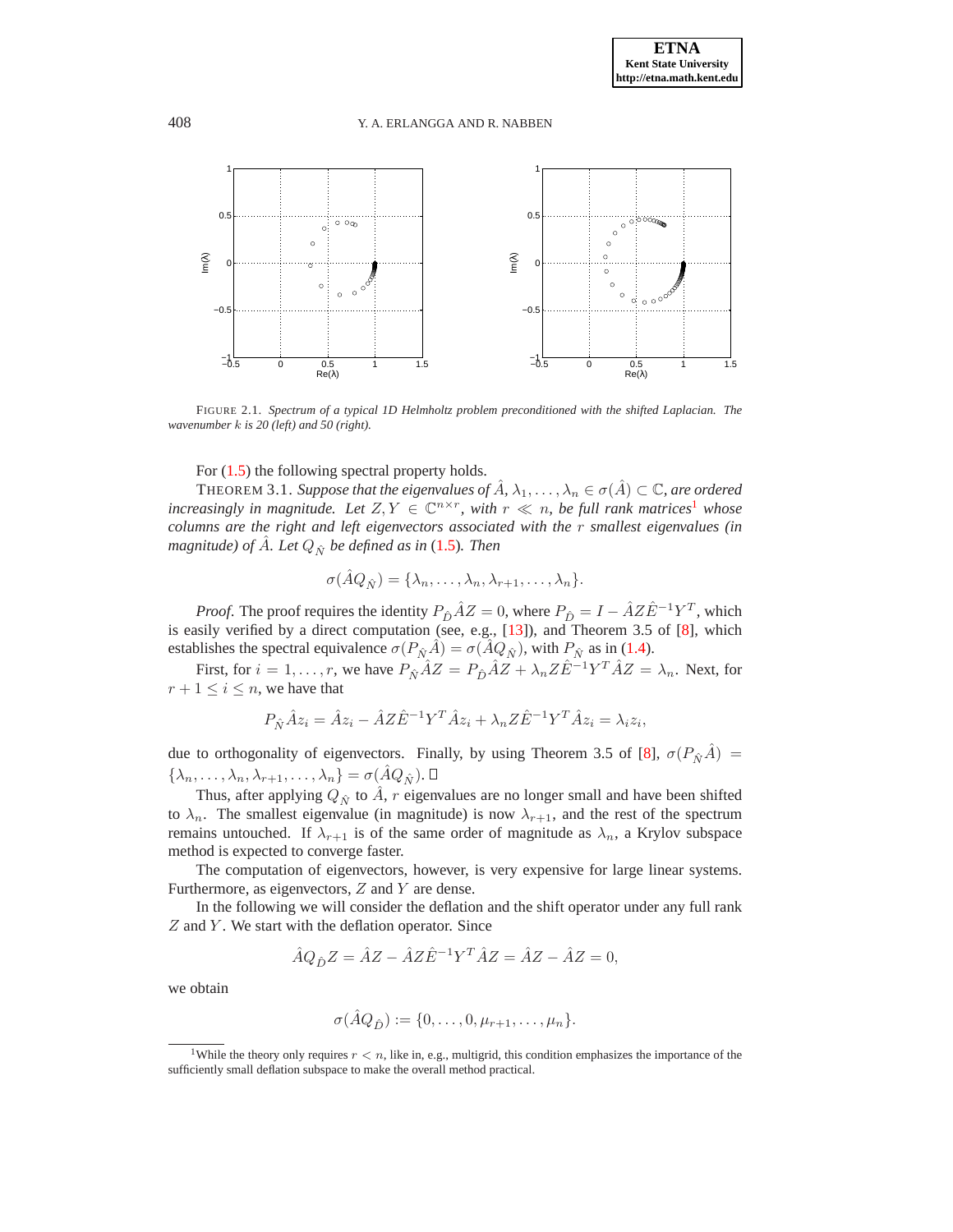

<span id="page-5-0"></span>FIGURE 2.1. *Spectrum of a typical 1D Helmholtz problem preconditioned with the shifted Laplacian. The wavenumber* k *is 20 (left) and 50 (right).*

For  $(1.5)$  the following spectral property holds.

THEOREM 3.1. *Suppose that the eigenvalues of*  $\hat{A}$ ,  $\lambda_1, \dots, \lambda_n \in \sigma(\hat{A}) \subset \mathbb{C}$ *, are ordered increasingly in magnitude. Let*  $Z, Y \in \mathbb{C}^{n \times r}$ , with  $r \ll n$ , be full rank matrices<sup>[1](#page-5-1)</sup> whose *columns are the right and left eigenvectors associated with the* r *smallest eigenvalues (in magnitude) of A. Let*  $Q_{\hat{N}}$  *be defined as in* [\(1.5\)](#page-2-0)*. Then* 

<span id="page-5-2"></span>
$$
\sigma(\hat{A}Q_{\hat{N}})=\{\lambda_n,\ldots,\lambda_n,\lambda_{r+1},\ldots,\lambda_n\}.
$$

*Proof.* The proof requires the identity  $P_{\hat{D}} \hat{A}Z = 0$ , where  $P_{\hat{D}} = I - \hat{A}Z\hat{E}^{-1}Y^T$ , which is easily verified by a direct computation (see, e.g., [\[13\]](#page-21-3)), and Theorem 3.5 of [\[8\]](#page-20-2), which establishes the spectral equivalence  $\sigma(P_{\hat{N}}\hat{A}) = \sigma(\hat{A}Q_{\hat{N}})$ , with  $P_{\hat{N}}$  as in [\(1.4\)](#page-1-2).

First, for  $i = 1, \dots, r$ , we have  $P_{\hat{N}} \hat{A} Z = P_{\hat{D}} \hat{A} Z + \lambda_n Z \hat{E}^{-1} Y^T \hat{A} Z = \lambda_n$ . Next, for  $r + 1 \leq i \leq n$ , we have that

$$
P_{\hat{N}}\hat{A}z_i = \hat{A}z_i - \hat{A}Z\hat{E}^{-1}Y^T\hat{A}z_i + \lambda_n Z\hat{E}^{-1}Y^T\hat{A}z_i = \lambda_i z_i,
$$

due to orthogonality of eigenvectors. Finally, by using Theorem 3.5 of [\[8\]](#page-20-2),  $\sigma(P_{\hat{N}}\hat{A}) =$  $\{\lambda_n,\ldots,\lambda_n,\lambda_{r+1},\ldots,\lambda_n\} = \sigma(\hat{A}Q_{\hat{N}}).$ 

Thus, after applying  $Q_{\hat{N}}$  to  $\hat{A}$ , r eigenvalues are no longer small and have been shifted to  $\lambda_n$ . The smallest eigenvalue (in magnitude) is now  $\lambda_{r+1}$ , and the rest of the spectrum remains untouched. If  $\lambda_{r+1}$  is of the same order of magnitude as  $\lambda_n$ , a Krylov subspace method is expected to converge faster.

The computation of eigenvectors, however, is very expensive for large linear systems. Furthermore, as eigenvectors,  $Z$  and  $Y$  are dense.

In the following we will consider the deflation and the shift operator under any full rank  $Z$  and  $Y$ . We start with the deflation operator. Since

$$
\hat{A}Q_{\hat{D}}Z = \hat{A}Z - \hat{A}Z\hat{E}^{-1}Y^T\hat{A}Z = \hat{A}Z - \hat{A}Z = 0,
$$

we obtain

$$
\sigma(\hat{A}Q_{\hat{D}}) := \{0,\ldots,0,\mu_{r+1},\ldots,\mu_n\}.
$$

<span id="page-5-1"></span><sup>&</sup>lt;sup>1</sup>While the theory only requires  $r < n$ , like in, e.g., multigrid, this condition emphasizes the importance of the sufficiently small deflation subspace to make the overall method practical.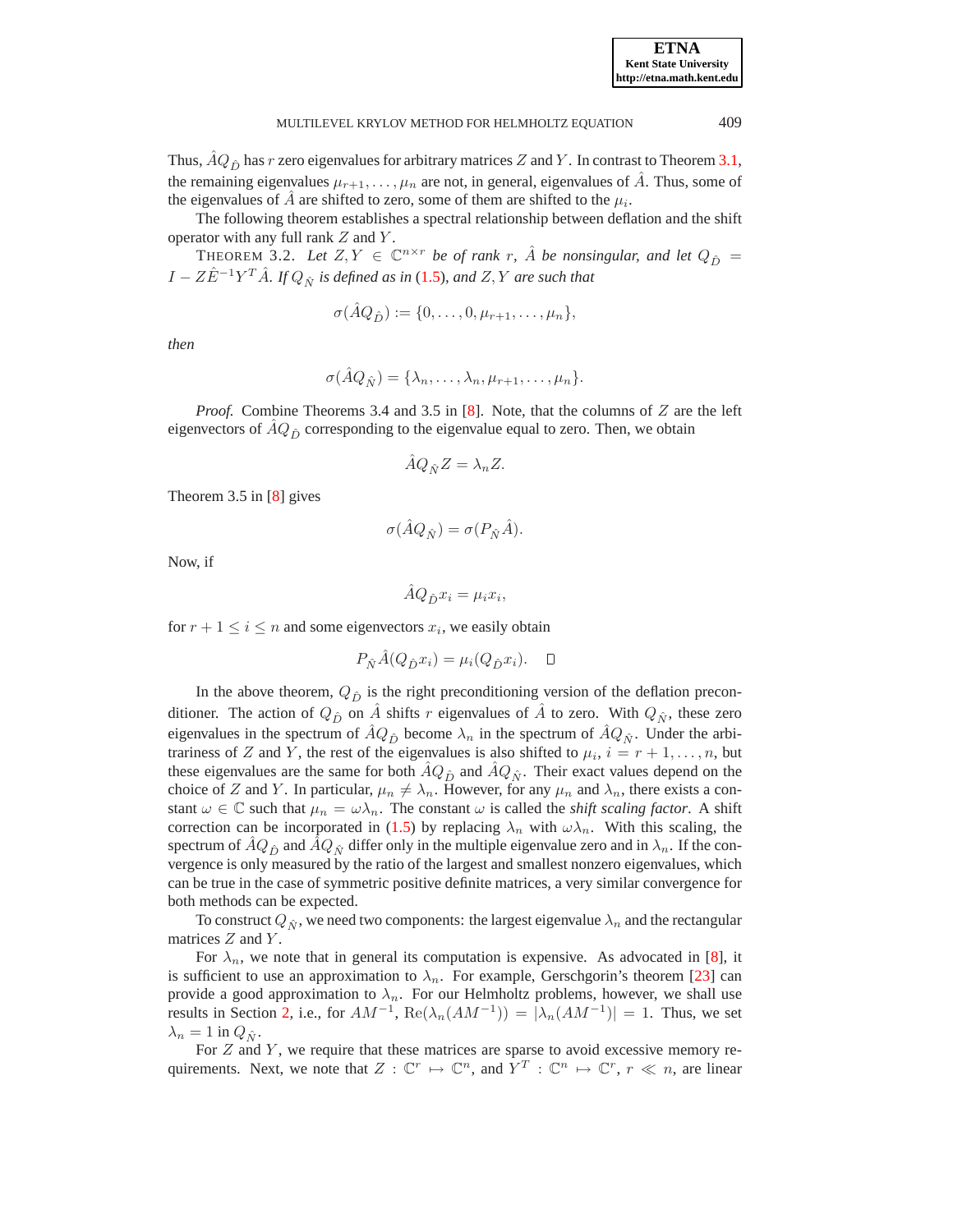**Kent State University http://etna.math.kent.edu**

**ETNA**

Thus,  $\hat{A}Q_{\hat{D}}$  has  $r$  zero eigenvalues for arbitrary matrices  $Z$  and  $Y.$  In contrast to Theorem [3.1,](#page-5-2) the remaining eigenvalues  $\mu_{r+1}, \ldots, \mu_n$  are not, in general, eigenvalues of A. Thus, some of the eigenvalues of  $\hat{A}$  are shifted to zero, some of them are shifted to the  $\mu_i$ .

<span id="page-6-0"></span>The following theorem establishes a spectral relationship between deflation and the shift operator with any full rank  $Z$  and  $Y$ .

THEOREM 3.2. Let  $Z, Y \in \mathbb{C}^{n \times r}$  be of rank r,  $\hat{A}$  be nonsingular, and let  $Q_{\hat{D}} =$  $I - Z\hat{E}^{-1}Y^T\hat{A}$ *. If*  $Q_{\hat{N}}$  *is defined as in* [\(1.5\)](#page-2-0)*, and Z*, *Y are such that* 

$$
\sigma(\hat{A}Q_{\hat{D}}) := \{0,\ldots,0,\mu_{r+1},\ldots,\mu_n\},\
$$

*then*

$$
\sigma(\hat{A}Q_{\hat{N}})=\{\lambda_n,\ldots,\lambda_n,\mu_{r+1},\ldots,\mu_n\}.
$$

*Proof.* Combine Theorems 3.4 and 3.5 in [\[8\]](#page-20-2). Note, that the columns of Z are the left eigenvectors of  $\hat{A}Q_{\hat{D}}$  corresponding to the eigenvalue equal to zero. Then, we obtain

$$
\hat{A}Q_{\hat{N}}Z = \lambda_n Z.
$$

Theorem 3.5 in [\[8\]](#page-20-2) gives

$$
\sigma(\hat{A}Q_{\hat{N}}) = \sigma(P_{\hat{N}}\hat{A}).
$$

Now, if

$$
\hat{A}Q_{\hat{D}}x_i = \mu_i x_i,
$$

for  $r + 1 \le i \le n$  and some eigenvectors  $x_i$ , we easily obtain

$$
P_{\hat{N}}\hat{A}(Q_{\hat{D}}x_i) = \mu_i(Q_{\hat{D}}x_i). \quad \Box
$$

In the above theorem,  $Q_{\hat{D}}$  is the right preconditioning version of the deflation preconditioner. The action of  $Q_{\hat{D}}$  on  $\hat{A}$  shifts r eigenvalues of  $\hat{A}$  to zero. With  $Q_{\hat{N}}$ , these zero eigenvalues in the spectrum of  $\hat{A}Q_{\hat{D}}$  become  $\lambda_n$  in the spectrum of  $\hat{A}Q_{\hat{N}}$ . Under the arbitrariness of Z and Y, the rest of the eigenvalues is also shifted to  $\mu_i$ ,  $i = r + 1, \dots, n$ , but these eigenvalues are the same for both  $\hat{A}Q_{\hat{D}}$  and  $\hat{A}Q_{\hat{N}}$ . Their exact values depend on the choice of Z and Y. In particular,  $\mu_n \neq \lambda_n$ . However, for any  $\mu_n$  and  $\lambda_n$ , there exists a constant  $\omega \in \mathbb{C}$  such that  $\mu_n = \omega \lambda_n$ . The constant  $\omega$  is called the *shift scaling factor*. A shift correction can be incorporated in [\(1.5\)](#page-2-0) by replacing  $\lambda_n$  with  $\omega \lambda_n$ . With this scaling, the spectrum of  $\hat{A}Q_{\hat{D}}$  and  $\hat{A}Q_{\hat{N}}$  differ only in the multiple eigenvalue zero and in  $\lambda_n$ . If the convergence is only measured by the ratio of the largest and smallest nonzero eigenvalues, which can be true in the case of symmetric positive definite matrices, a very similar convergence for both methods can be expected.

To construct  $Q_{\hat{N}}$ , we need two components: the largest eigenvalue  $\lambda_n$  and the rectangular matrices  $Z$  and  $Y$ .

For  $\lambda_n$ , we note that in general its computation is expensive. As advocated in [\[8\]](#page-20-2), it is sufficient to use an approximation to  $\lambda_n$ . For example, Gerschgorin's theorem [\[23\]](#page-21-12) can provide a good approximation to  $\lambda_n$ . For our Helmholtz problems, however, we shall use results in Section [2,](#page-3-0) i.e., for  $AM^{-1}$ ,  $\text{Re}(\lambda_n(AM^{-1})) = |\lambda_n(AM^{-1})| = 1$ . Thus, we set  $\lambda_n = 1$  in  $Q_{\hat{N}}$ .

For  $Z$  and  $Y$ , we require that these matrices are sparse to avoid excessive memory requirements. Next, we note that  $Z: \mathbb{C}^r \mapsto \mathbb{C}^n$ , and  $Y^T: \mathbb{C}^n \mapsto \mathbb{C}^r$ ,  $r \ll n$ , are linear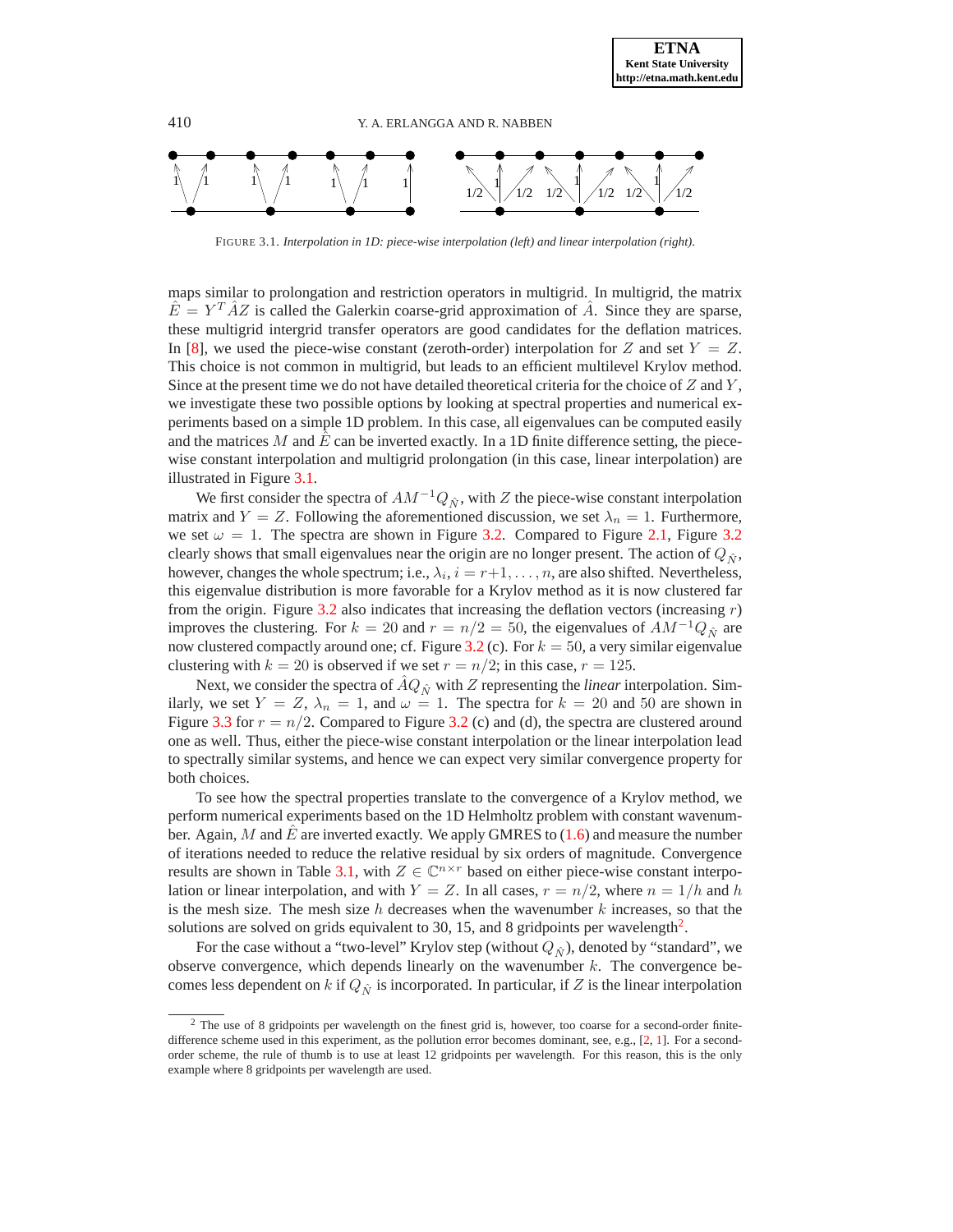

FIGURE 3.1. *Interpolation in 1D: piece-wise interpolation (left) and linear interpolation (right).*

<span id="page-7-0"></span>maps similar to prolongation and restriction operators in multigrid. In multigrid, the matrix  $\hat{E} = Y^T \hat{A} Z$  is called the Galerkin coarse-grid approximation of  $\hat{A}$ . Since they are sparse, these multigrid intergrid transfer operators are good candidates for the deflation matrices. In [\[8\]](#page-20-2), we used the piece-wise constant (zeroth-order) interpolation for Z and set  $Y = Z$ . This choice is not common in multigrid, but leads to an efficient multilevel Krylov method. Since at the present time we do not have detailed theoretical criteria for the choice of  $Z$  and  $Y$ , we investigate these two possible options by looking at spectral properties and numerical experiments based on a simple 1D problem. In this case, all eigenvalues can be computed easily and the matrices M and E can be inverted exactly. In a 1D finite difference setting, the piecewise constant interpolation and multigrid prolongation (in this case, linear interpolation) are illustrated in Figure [3.1.](#page-7-0)

We first consider the spectra of  $AM^{-1}Q_{\hat{N}}$ , with Z the piece-wise constant interpolation matrix and  $Y = Z$ . Following the aforementioned discussion, we set  $\lambda_n = 1$ . Furthermore, we set  $\omega = 1$ . The spectra are shown in Figure [3.2.](#page-8-1) Compared to Figure [2.1,](#page-5-0) Figure [3.2](#page-8-1) clearly shows that small eigenvalues near the origin are no longer present. The action of  $Q_{\hat{N}}$ , however, changes the whole spectrum; i.e.,  $\lambda_i$ ,  $i = r+1, \ldots, n$ , are also shifted. Nevertheless, this eigenvalue distribution is more favorable for a Krylov method as it is now clustered far from the origin. Figure [3.2](#page-8-1) also indicates that increasing the deflation vectors (increasing  $r$ ) improves the clustering. For  $k = 20$  and  $r = n/2 = 50$ , the eigenvalues of  $AM^{-1}Q_{\hat{N}}$  are now clustered compactly around one; cf. Figure [3.2](#page-8-1) (c). For  $k = 50$ , a very similar eigenvalue clustering with  $k = 20$  is observed if we set  $r = n/2$ ; in this case,  $r = 125$ .

Next, we consider the spectra of  $\hat{A}Q_{\hat{N}}$  with  $Z$  representing the *linear* interpolation. Similarly, we set  $Y = Z$ ,  $\lambda_n = 1$ , and  $\omega = 1$ . The spectra for  $k = 20$  and 50 are shown in Figure [3.3](#page-9-0) for  $r = n/2$ . Compared to Figure [3.2](#page-8-1) (c) and (d), the spectra are clustered around one as well. Thus, either the piece-wise constant interpolation or the linear interpolation lead to spectrally similar systems, and hence we can expect very similar convergence property for both choices.

To see how the spectral properties translate to the convergence of a Krylov method, we perform numerical experiments based on the 1D Helmholtz problem with constant wavenumber. Again, M and  $\hat{E}$  are inverted exactly. We apply GMRES to [\(1.6\)](#page-2-1) and measure the number of iterations needed to reduce the relative residual by six orders of magnitude. Convergence results are shown in Table [3.1,](#page-8-2) with  $Z \in \mathbb{C}^{n \times r}$  based on either piece-wise constant interpolation or linear interpolation, and with  $Y = Z$ . In all cases,  $r = n/2$ , where  $n = 1/h$  and h is the mesh size. The mesh size h decreases when the wavenumber  $k$  increases, so that the solutions are solved on grids equivalent to 30, 15, and 8 gridpoints per wavelength<sup>[2](#page-7-1)</sup>.

For the case without a "two-level" Krylov step (without  $Q_{\hat{N}}$ ), denoted by "standard", we observe convergence, which depends linearly on the wavenumber  $k$ . The convergence becomes less dependent on k if  $Q_{\hat{N}}$  is incorporated. In particular, if Z is the linear interpolation

<span id="page-7-1"></span><sup>&</sup>lt;sup>2</sup> The use of 8 gridpoints per wavelength on the finest grid is, however, too coarse for a second-order finite-difference scheme used in this experiment, as the pollution error becomes dominant, see, e.g., [\[2,](#page-20-5) [1\]](#page-20-6). For a secondorder scheme, the rule of thumb is to use at least 12 gridpoints per wavelength. For this reason, this is the only example where 8 gridpoints per wavelength are used.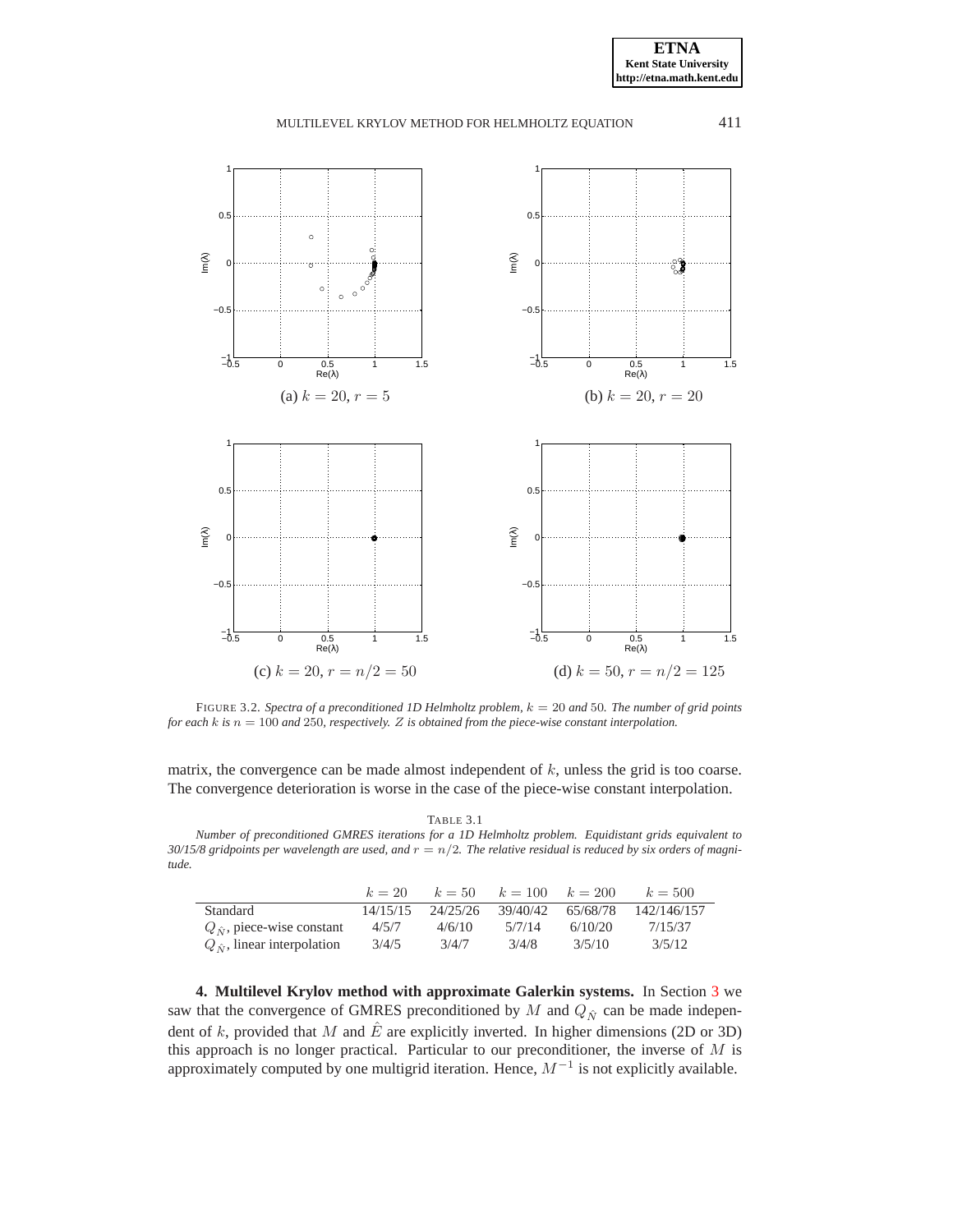

<span id="page-8-1"></span>FIGURE 3.2. *Spectra of a preconditioned 1D Helmholtz problem,* k = 20 *and* 50*. The number of grid points for each* k *is* n = 100 *and* 250*, respectively.* Z *is obtained from the piece-wise constant interpolation.*

matrix, the convergence can be made almost independent of  $k$ , unless the grid is too coarse. The convergence deterioration is worse in the case of the piece-wise constant interpolation.

TABLE 3.1

<span id="page-8-2"></span>*Number of preconditioned GMRES iterations for a 1D Helmholtz problem. Equidistant grids equivalent to*  $30/15/8$  gridpoints per wavelength are used, and  $r = n/2$ . The relative residual is reduced by six orders of magni*tude.*

|                                      | $k=20$   | $k=50$   | $k = 100$ $k = 200$ |          | $k = 500$   |
|--------------------------------------|----------|----------|---------------------|----------|-------------|
| Standard                             | 14/15/15 | 24/25/26 | 39/40/42            | 65/68/78 | 142/146/157 |
| $Q_{\hat{M}}$ , piece-wise constant  | 4/5/7    | 4/6/10   | 5/7/14              | 6/10/20  | 7/15/37     |
| $Q_{\hat{M}}$ , linear interpolation | 3/4/5    | 3/4/7    | 3/4/8               | 3/5/10   | 3/5/12      |

<span id="page-8-0"></span>**4. Multilevel Krylov method with approximate Galerkin systems.** In Section [3](#page-4-0) we saw that the convergence of GMRES preconditioned by M and  $Q_{\hat{N}}$  can be made independent of k, provided that M and  $\hat{E}$  are explicitly inverted. In higher dimensions (2D or 3D) this approach is no longer practical. Particular to our preconditioner, the inverse of  $M$  is approximately computed by one multigrid iteration. Hence,  $M^{-1}$  is not explicitly available.

**ETNA Kent State University http://etna.math.kent.edu**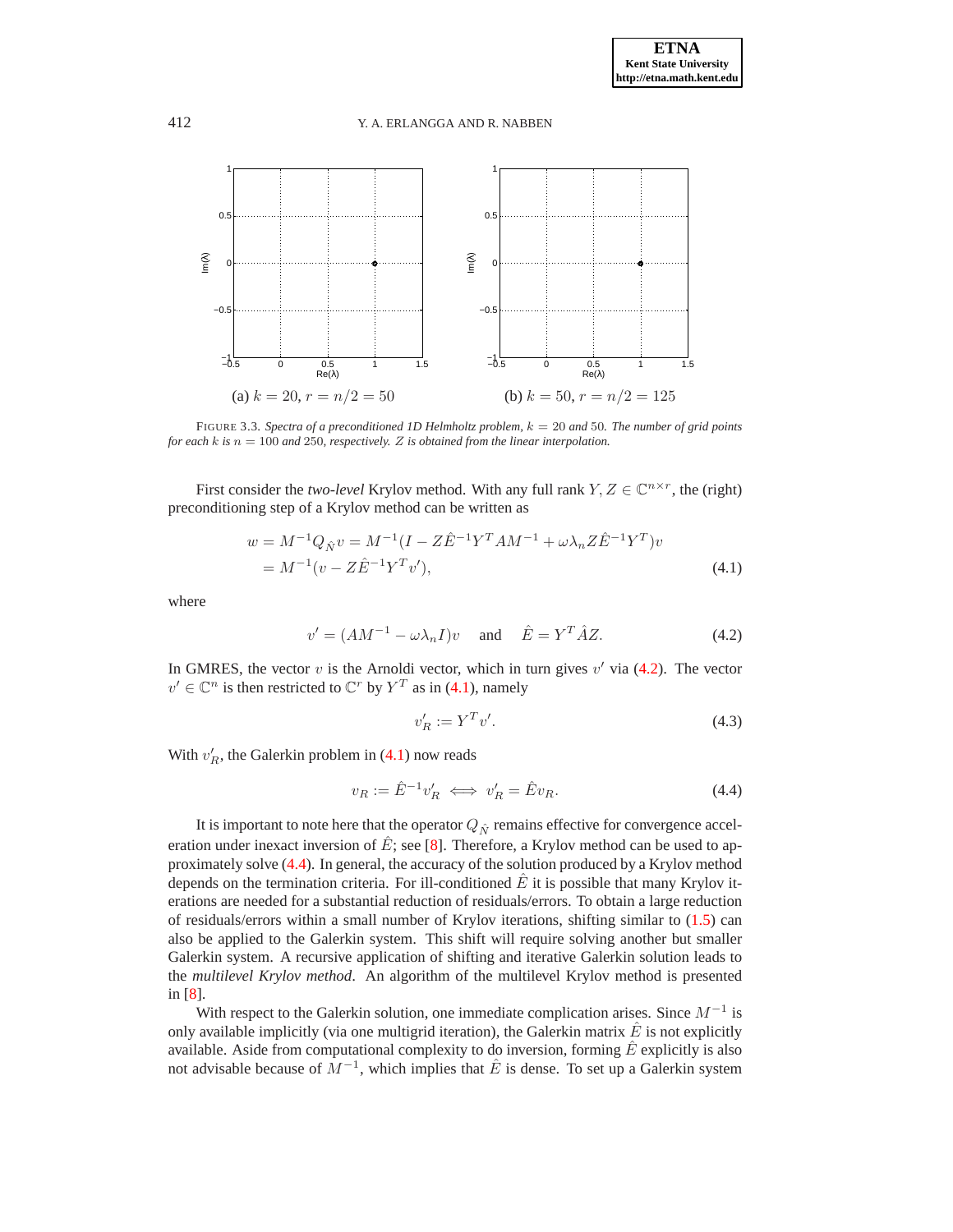

<span id="page-9-0"></span>FIGURE 3.3. *Spectra of a preconditioned 1D Helmholtz problem,* k = 20 *and* 50*. The number of grid points for each*  $k$  *is*  $n = 100$  *and* 250*, respectively. Z is obtained from the linear interpolation.* 

<span id="page-9-2"></span>First consider the *two-level* Krylov method. With any full rank  $Y, Z \in \mathbb{C}^{n \times r}$ , the (right) preconditioning step of a Krylov method can be written as

$$
w = M^{-1}Q_{\hat{N}}v = M^{-1}(I - Z\hat{E}^{-1}Y^{T}AM^{-1} + \omega \lambda_{n} Z\hat{E}^{-1}Y^{T})v
$$
  
=  $M^{-1}(v - Z\hat{E}^{-1}Y^{T}v')$ , (4.1)

<span id="page-9-1"></span>where

$$
v' = (AM^{-1} - \omega \lambda_n I)v \quad \text{and} \quad \hat{E} = Y^T \hat{A} Z. \tag{4.2}
$$

In GMRES, the vector  $v$  is the Arnoldi vector, which in turn gives  $v'$  via [\(4.2\)](#page-9-1). The vector  $v' \in \mathbb{C}^n$  is then restricted to  $\mathbb{C}^r$  by  $Y^T$  as in [\(4.1\)](#page-9-2), namely

$$
v_R' := Y^T v'.\tag{4.3}
$$

<span id="page-9-3"></span>With  $v'_R$ , the Galerkin problem in [\(4.1\)](#page-9-2) now reads

$$
v_R := \hat{E}^{-1} v'_R \iff v'_R = \hat{E} v_R. \tag{4.4}
$$

It is important to note here that the operator  $Q_{\hat{N}}$  remains effective for convergence acceleration under inexact inversion of  $\hat{E}$ ; see [\[8\]](#page-20-2). Therefore, a Krylov method can be used to approximately solve [\(4.4\)](#page-9-3). In general, the accuracy of the solution produced by a Krylov method depends on the termination criteria. For ill-conditioned  $\vec{E}$  it is possible that many Krylov iterations are needed for a substantial reduction of residuals/errors. To obtain a large reduction of residuals/errors within a small number of Krylov iterations, shifting similar to [\(1.5\)](#page-2-0) can also be applied to the Galerkin system. This shift will require solving another but smaller Galerkin system. A recursive application of shifting and iterative Galerkin solution leads to the *multilevel Krylov method*. An algorithm of the multilevel Krylov method is presented in [\[8\]](#page-20-2).

With respect to the Galerkin solution, one immediate complication arises. Since  $M^{-1}$  is only available implicitly (via one multigrid iteration), the Galerkin matrix  $E$  is not explicitly available. Aside from computational complexity to do inversion, forming  $\hat{E}$  explicitly is also not advisable because of  $\tilde{M}^{-1}$ , which implies that  $\hat{E}$  is dense. To set up a Galerkin system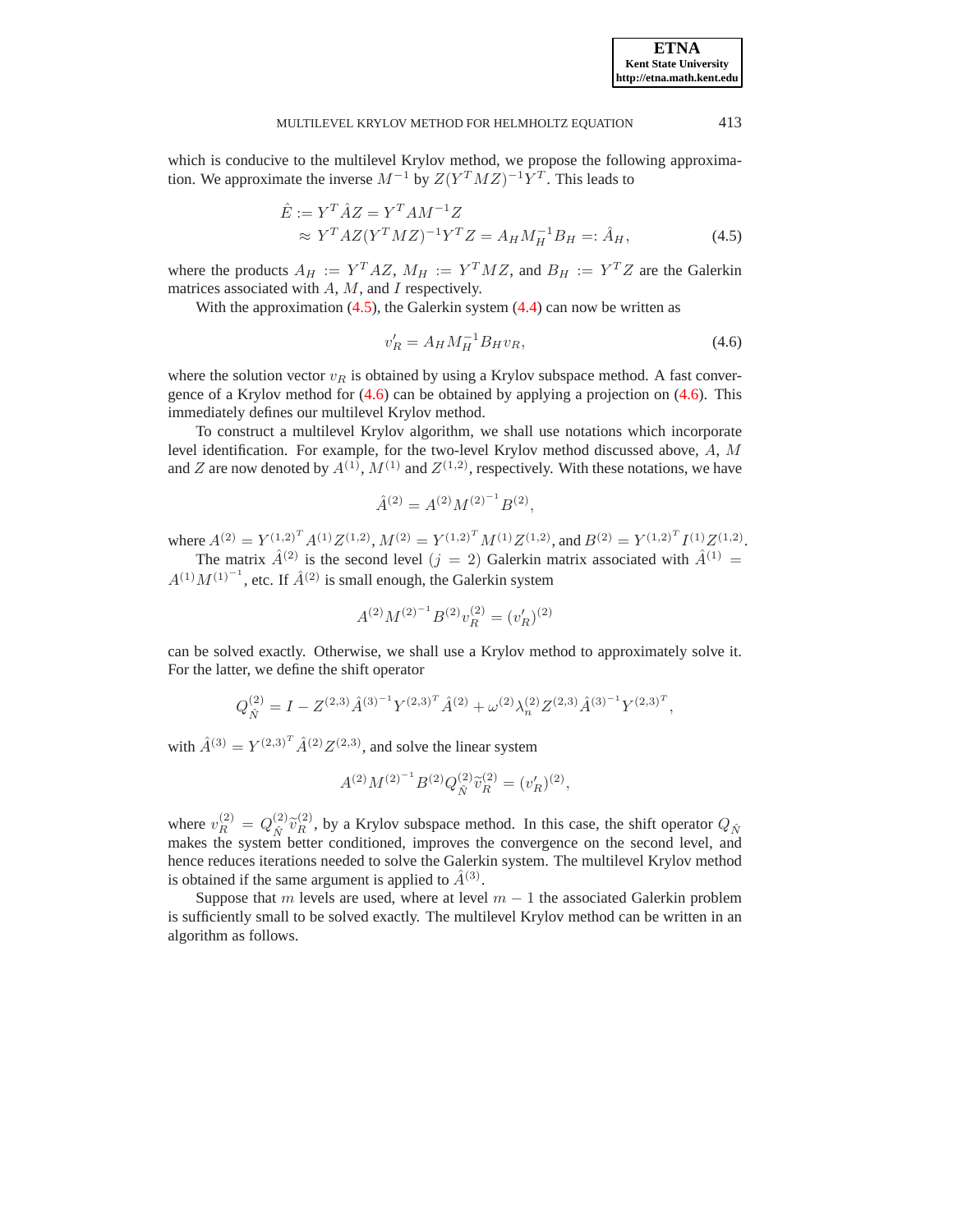<span id="page-10-0"></span>which is conducive to the multilevel Krylov method, we propose the following approximation. We approximate the inverse  $M^{-1}$  by  $Z(Y^T M Z)^{-1} Y^T$ . This leads to

$$
\hat{E} := Y^T \hat{A} Z = Y^T A M^{-1} Z
$$
  
\n
$$
\approx Y^T A Z (Y^T M Z)^{-1} Y^T Z = A_H M_H^{-1} B_H =: \hat{A}_H,
$$
\n(4.5)

where the products  $A_H := Y^T A Z$ ,  $M_H := Y^T M Z$ , and  $B_H := Y^T Z$  are the Galerkin matrices associated with  $A$ ,  $M$ , and  $I$  respectively.

<span id="page-10-1"></span>With the approximation  $(4.5)$ , the Galerkin system  $(4.4)$  can now be written as

$$
v_R' = A_H M_H^{-1} B_H v_R, \tag{4.6}
$$

where the solution vector  $v_R$  is obtained by using a Krylov subspace method. A fast convergence of a Krylov method for [\(4.6\)](#page-10-1) can be obtained by applying a projection on [\(4.6\)](#page-10-1). This immediately defines our multilevel Krylov method.

To construct a multilevel Krylov algorithm, we shall use notations which incorporate level identification. For example, for the two-level Krylov method discussed above, A, M and Z are now denoted by  $A^{(1)}$ ,  $M^{(1)}$  and  $Z^{(1,2)}$ , respectively. With these notations, we have

$$
\hat{A}^{(2)} = A^{(2)} M^{(2)^{-1}} B^{(2)},
$$

where  $A^{(2)} = Y^{(1,2)^T} A^{(1)} Z^{(1,2)}$ ,  $M^{(2)} = Y^{(1,2)^T} M^{(1)} Z^{(1,2)}$ , and  $B^{(2)} = Y^{(1,2)^T} I^{(1)} Z^{(1,2)}$ . The matrix  $\hat{A}^{(2)}$  is the second level  $(j = 2)$  Galerkin matrix associated with  $\hat{A}^{(1)}$  =  $A^{(1)}M^{(1)^{-1}}$ , etc. If  $\hat{A}^{(2)}$  is small enough, the Galerkin system

$$
A^{(2)}M^{(2)^{-1}}B^{(2)}v_R^{(2)}=(v_R')^{(2)}
$$

can be solved exactly. Otherwise, we shall use a Krylov method to approximately solve it. For the latter, we define the shift operator

$$
Q_{\hat{N}}^{(2)} = I - Z^{(2,3)} \hat{A}^{(3)^{-1}} Y^{(2,3)^{T}} \hat{A}^{(2)} + \omega^{(2)} \lambda_{n}^{(2)} Z^{(2,3)} \hat{A}^{(3)^{-1}} Y^{(2,3)^{T}},
$$

with  $\hat{A}^{(3)} = Y^{(2,3)^T} \hat{A}^{(2)} Z^{(2,3)}$ , and solve the linear system

$$
A^{(2)}M^{(2)^{-1}}B^{(2)}Q_{\hat{N}}^{(2)}\widetilde{v}_R^{(2)} = (v_R')^{(2)},
$$

where  $v_R^{(2)} = Q_{\hat{N}}^{(2)}$  $\hat{v}_{R}^{(2)}$  by a Krylov subspace method. In this case, the shift operator  $Q_{\hat{N}}$ makes the system better conditioned, improves the convergence on the second level, and hence reduces iterations needed to solve the Galerkin system. The multilevel Krylov method is obtained if the same argument is applied to  $\hat{A}^{(3)}$ .

Suppose that m levels are used, where at level  $m - 1$  the associated Galerkin problem is sufficiently small to be solved exactly. The multilevel Krylov method can be written in an algorithm as follows.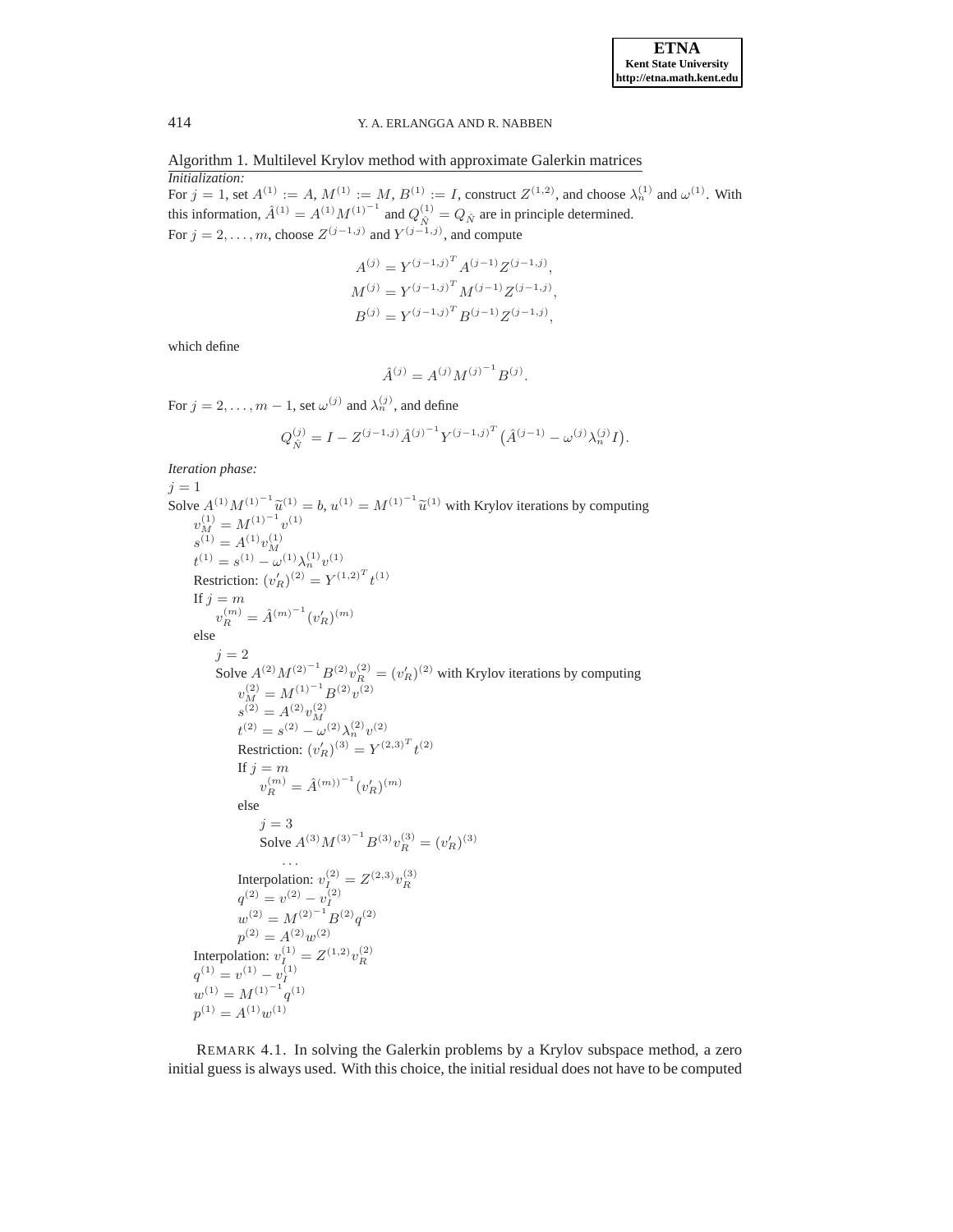Algorithm 1. Multilevel Krylov method with approximate Galerkin matrices *Initialization:*

For  $j = 1$ , set  $A^{(1)} := A$ ,  $M^{(1)} := M$ ,  $B^{(1)} := I$ , construct  $Z^{(1,2)}$ , and choose  $\lambda_n^{(1)}$  and  $\omega^{(1)}$ . With this information,  $\hat{A}^{(1)} = A^{(1)} M^{(1)}^{-1}$  and  $Q_{\hat{N}}^{(1)} = Q_{\hat{N}}$  are in principle determined. For  $j = 2, \ldots, m$ , choose  $Z^{(j-1,j)}$  and  $Y^{(j-1,j)}$ , and compute

$$
A^{(j)} = Y^{(j-1,j)^T} A^{(j-1)} Z^{(j-1,j)},
$$
  
\n
$$
M^{(j)} = Y^{(j-1,j)^T} M^{(j-1)} Z^{(j-1,j)},
$$
  
\n
$$
B^{(j)} = Y^{(j-1,j)^T} B^{(j-1)} Z^{(j-1,j)},
$$

which define

$$
\hat{A}^{(j)} = A^{(j)} M^{(j)^{-1}} B^{(j)}.
$$

For  $j = 2, \ldots, m - 1$ , set  $\omega^{(j)}$  and  $\lambda^{(j)}_n$ , and define

$$
Q_{\hat{N}}^{(j)} = I - Z^{(j-1,j)} \hat{A}^{(j)-1} Y^{(j-1,j)^{T}} (\hat{A}^{(j-1)} - \omega^{(j)} \lambda_{n}^{(j)} I).
$$

*Iteration phase:*

 $j = 1$ Solve  $A^{(1)}M^{(1)}^{-1}\tilde{u}^{(1)} = b$ ,  $u^{(1)} = M^{(1)}^{-1}\tilde{u}^{(1)}$  with Krylov iterations by computing  $v_M^{(1)} = M^{(1)}^{-1} v^{(1)}$  $s^{(1)} = A^{(1)} v_M^{(1)}$  $t^{(1)} = s^{(1)} - \omega^{(1)} \lambda_n^{(1)} v^{(1)}$ Restriction:  $(v'_R)^{(2)} = Y^{(1,2)^T} t^{(1)}$ If  $j = m$  $v_R^{(m)} = \hat{A}^{(m)^{-1}} (v_R')^{(m)}$ else  $j = 2$ Solve  $A^{(2)}M^{(2)-1}B^{(2)}v_R^{(2)} = (v_R')^{(2)}$  with Krylov iterations by computing  $v_M^{(2)} = M^{(1)}{}^{-1} B^{(2)} v^{(2)}$  $s^{(2)} = A^{(2)} v_M^{(2)}$ <br>  $t^{(2)} = s^{(2)} - \omega^{(2)} \lambda_n^{(2)} v^{(2)}$ Restriction:  $(v'_R)^{(3)} = Y^{(2,3)^T} t^{(2)}$ If  $j = m$  $v_R^{(m)} = \hat{A}^{(m)})^{-1} (v_R')^{(m)}$ else  $j = 3$ Solve  $A^{(3)}M^{(3)}{}^{-1}B^{(3)}v_R^{(3)} = (v_R')^{(3)}$ . . . Interpolation:  $v_I^{(2)} = Z^{(2,3)} v_R^{(3)}$ <br>  $q^{(2)} = v^{(2)} - v_I^{(2)}$  $w^{(2)} = M^{(2)^{-1}} B^{(2)} q^{(2)}$  $p^{(2)} = A^{(2)}w$  $p^{(2)} = A^{(2)}w^{(2)}$ Interpolation:  $v_I^{(1)} = Z^{(1,2)} v_R^{(2)}$ <br>  $q^{(1)} = v^{(1)} - v_I^{(1)}$  $w^{(1)} = M^{(1)^{-1}} q^{(1)}$  $p^{(1)} = A^{(1)}w^{(1)}$ 

REMARK 4.1. In solving the Galerkin problems by a Krylov subspace method, a zero initial guess is always used. With this choice, the initial residual does not have to be computed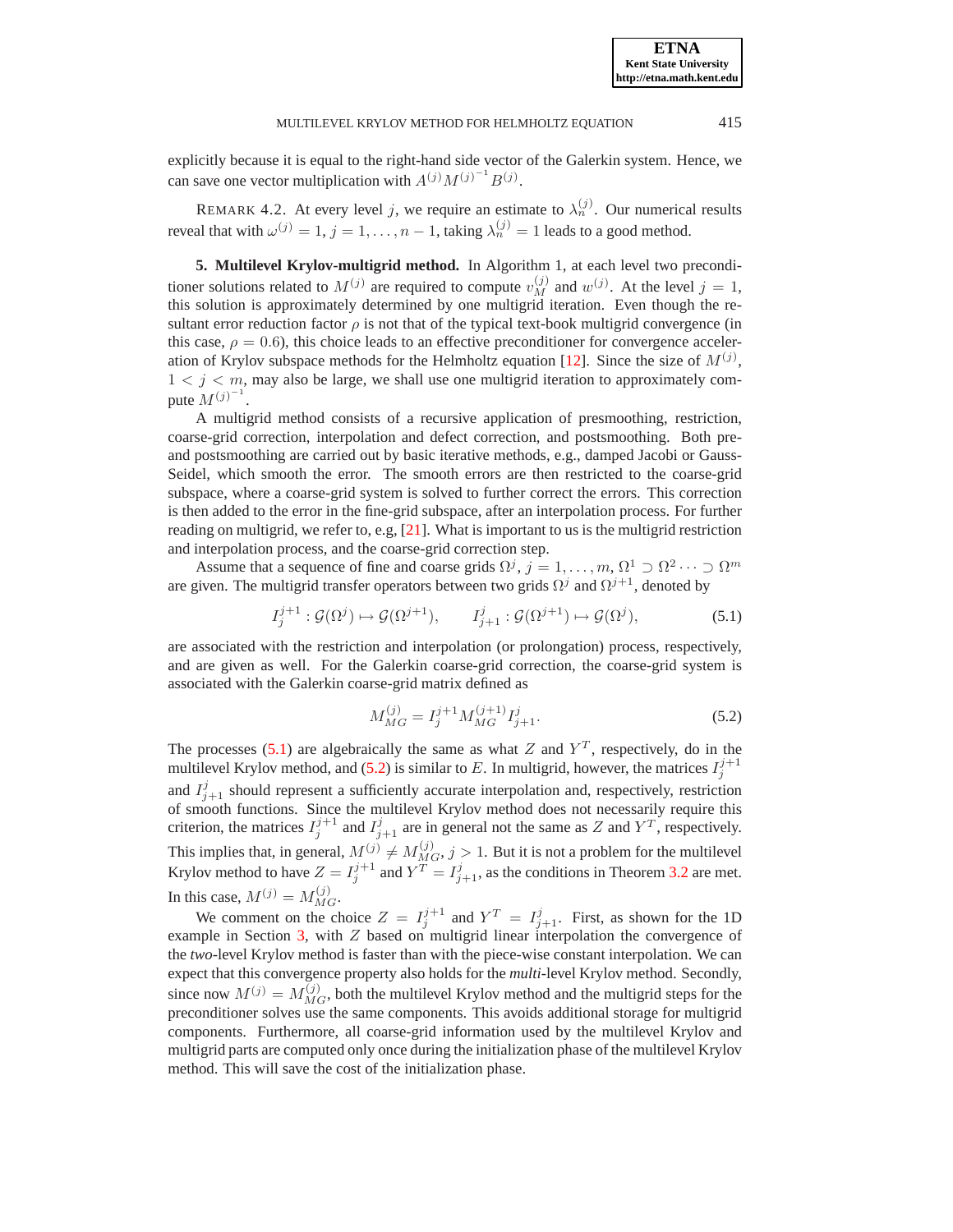explicitly because it is equal to the right-hand side vector of the Galerkin system. Hence, we can save one vector multiplication with  $A^{(j)}M^{(j)^{-1}}B^{(j)}$ .

REMARK 4.2. At every level j, we require an estimate to  $\lambda_n^{(j)}$ . Our numerical results reveal that with  $\omega^{(j)} = 1, j = 1, \dots, n - 1$ , taking  $\lambda_n^{(j)} = 1$  leads to a good method.

<span id="page-12-0"></span>**5. Multilevel Krylov-multigrid method.** In Algorithm 1, at each level two preconditioner solutions related to  $M^{(j)}$  are required to compute  $v_M^{(j)}$  and  $w^{(j)}$ . At the level  $j = 1$ , this solution is approximately determined by one multigrid iteration. Even though the resultant error reduction factor  $\rho$  is not that of the typical text-book multigrid convergence (in this case,  $\rho = 0.6$ ), this choice leads to an effective preconditioner for convergence acceler-ation of Krylov subspace methods for the Helmholtz equation [\[12\]](#page-21-9). Since the size of  $M^{(j)}$ ,  $1 < j < m$ , may also be large, we shall use one multigrid iteration to approximately compute  $M^{(j)^{-1}}$ .

A multigrid method consists of a recursive application of presmoothing, restriction, coarse-grid correction, interpolation and defect correction, and postsmoothing. Both preand postsmoothing are carried out by basic iterative methods, e.g., damped Jacobi or Gauss-Seidel, which smooth the error. The smooth errors are then restricted to the coarse-grid subspace, where a coarse-grid system is solved to further correct the errors. This correction is then added to the error in the fine-grid subspace, after an interpolation process. For further reading on multigrid, we refer to, e.g, [\[21\]](#page-21-13). What is important to us is the multigrid restriction and interpolation process, and the coarse-grid correction step.

Assume that a sequence of fine and coarse grids  $\Omega^j$ ,  $j = 1, ..., m, \Omega^1 \supset \Omega^2 \cdots \supset \Omega^m$ are given. The multigrid transfer operators between two grids  $\Omega^j$  and  $\Omega^{j+1}$ , denoted by

$$
I_j^{j+1} : \mathcal{G}(\Omega^j) \mapsto \mathcal{G}(\Omega^{j+1}), \qquad I_{j+1}^j : \mathcal{G}(\Omega^{j+1}) \mapsto \mathcal{G}(\Omega^j), \tag{5.1}
$$

<span id="page-12-1"></span>are associated with the restriction and interpolation (or prolongation) process, respectively, and are given as well. For the Galerkin coarse-grid correction, the coarse-grid system is associated with the Galerkin coarse-grid matrix defined as

$$
M_{MG}^{(j)} = I_j^{j+1} M_{MG}^{(j+1)} I_{j+1}^j.
$$
\n(5.2)

<span id="page-12-2"></span>The processes [\(5.1\)](#page-12-1) are algebraically the same as what Z and  $Y<sup>T</sup>$ , respectively, do in the multilevel Krylov method, and [\(5.2\)](#page-12-2) is similar to E. In multigrid, however, the matrices  $I_j^{j+1}$ and  $I_{j+1}^j$  should represent a sufficiently accurate interpolation and, respectively, restriction of smooth functions. Since the multilevel Krylov method does not necessarily require this criterion, the matrices  $I_j^{j+1}$  and  $I_{j+1}^j$  are in general not the same as Z and  $Y^T$ , respectively. This implies that, in general,  $M^{(j)} \neq M_{MG}^{(j)}$ ,  $j > 1$ . But it is not a problem for the multilevel Krylov method to have  $Z = I_j^{j+1}$  and  $Y^T = I_{j+1}^j$ , as the conditions in Theorem [3.2](#page-6-0) are met. In this case,  $M^{(j)} = M_{MG}^{(j)}$ .

We comment on the choice  $Z = I_j^{j+1}$  and  $Y^T = I_{j+1}^j$ . First, as shown for the 1D example in Section [3,](#page-4-0) with Z based on multigrid linear interpolation the convergence of the *two*-level Krylov method is faster than with the piece-wise constant interpolation. We can expect that this convergence property also holds for the *multi*-level Krylov method. Secondly, since now  $M^{(j)} = M_{MG}^{(j)}$ , both the multilevel Krylov method and the multigrid steps for the preconditioner solves use the same components. This avoids additional storage for multigrid components. Furthermore, all coarse-grid information used by the multilevel Krylov and multigrid parts are computed only once during the initialization phase of the multilevel Krylov method. This will save the cost of the initialization phase.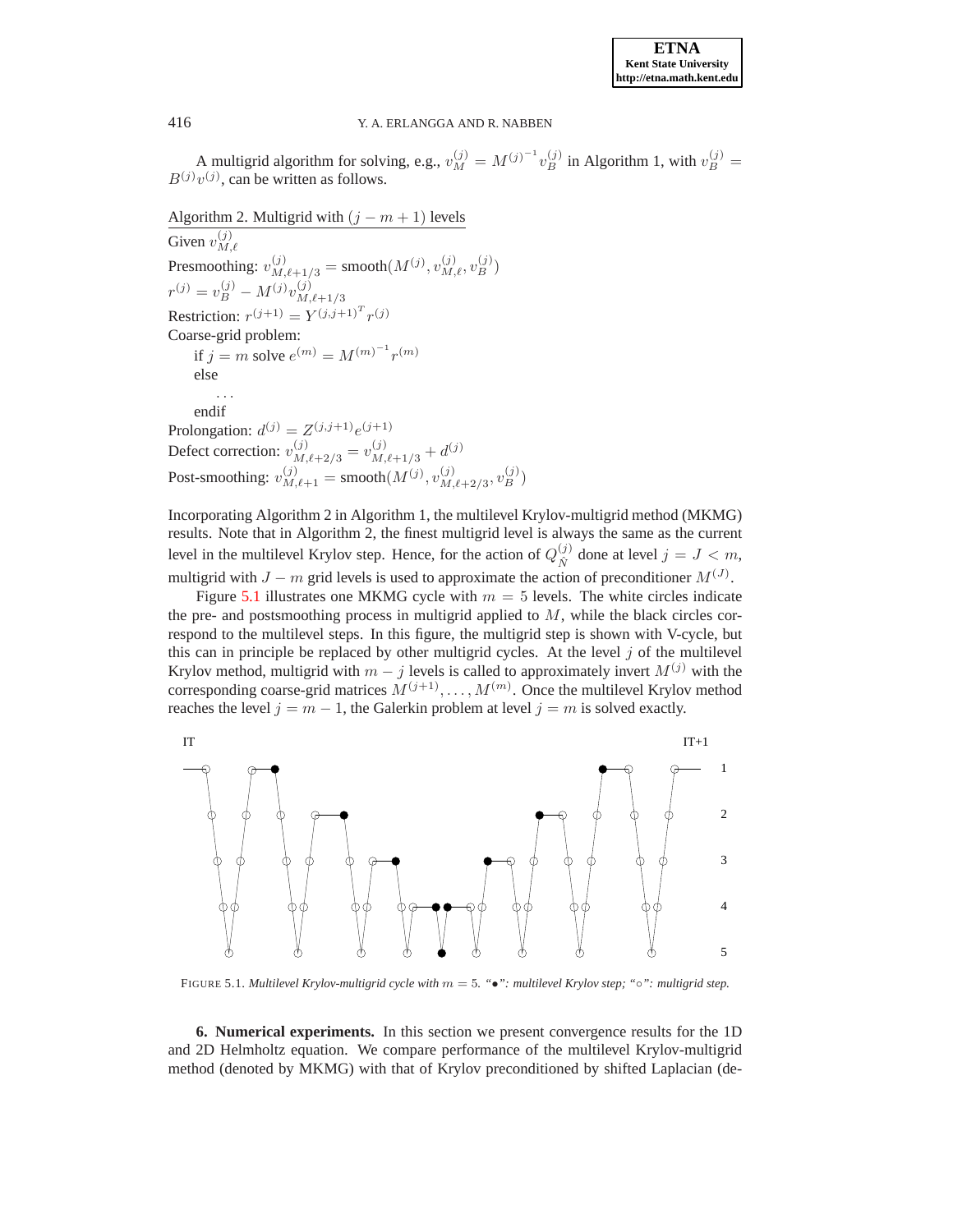A multigrid algorithm for solving, e.g.,  $v_M^{(j)} = M^{(j)^{-1}} v_B^{(j)}$  in Algorithm 1, with  $v_B^{(j)} =$  $B^{(j)}v^{(j)}$ , can be written as follows.

Algorithm 2. Multigrid with  $(j - m + 1)$  levels Given  $v_M^{(j)}$  $M, \ell$ Presmoothing:  $v_{M,\ell+1/3}^{(j)} = \text{smooth}(M^{(j)}, v_{M,\ell}^{(j)}, v_B^{(j)})$  $r^{(j)} = v_B^{(j)} - M^{(j)}v_{M}^{(j)}$  $M, \ell + 1/3$ Restriction:  $r^{(j+1)} = Y^{(j,j+1)^T} r^{(j)}$ Coarse-grid problem: if  $j = m$  solve  $e^{(m)} = M^{(m)^{-1}} r^{(m)}$ else . . . endif Prolongation:  $d^{(j)} = Z^{(j,j+1)}e^{(j+1)}$ Defect correction:  $v_{M,\ell+2/3}^{(j)} = v_{M,\ell+1/3}^{(j)} + d^{(j)}$ Post-smoothing:  $v_{M,\ell+1}^{(j)} = \text{smooth}(M^{(j)}, v_{M,\ell+1}^{(j)})$  $\binom{(j)}{M,\ell+2/3},v_B^{(j)})$ 

Incorporating Algorithm 2 in Algorithm 1, the multilevel Krylov-multigrid method (MKMG) results. Note that in Algorithm 2, the finest multigrid level is always the same as the current level in the multilevel Krylov step. Hence, for the action of  $Q_{\hat{N}}^{(j)}$  $\chi^{(j)}_{\hat{N}}$  done at level  $j = J < m$ , multigrid with  $J - m$  grid levels is used to approximate the action of preconditioner  $M^{(J)}$ .

Figure [5.1](#page-13-1) illustrates one MKMG cycle with  $m = 5$  levels. The white circles indicate the pre- and postsmoothing process in multigrid applied to  $M$ , while the black circles correspond to the multilevel steps. In this figure, the multigrid step is shown with V-cycle, but this can in principle be replaced by other multigrid cycles. At the level  $j$  of the multilevel Krylov method, multigrid with  $m - j$  levels is called to approximately invert  $M^{(j)}$  with the corresponding coarse-grid matrices  $M^{(j+1)}, \ldots, M^{(m)}$ . Once the multilevel Krylov method reaches the level  $j = m - 1$ , the Galerkin problem at level  $j = m$  is solved exactly.



<span id="page-13-1"></span>FIGURE 5.1. *Multilevel Krylov-multigrid cycle with* m = 5*. "*•*": multilevel Krylov step; "*◦*": multigrid step.*

<span id="page-13-0"></span>**6. Numerical experiments.** In this section we present convergence results for the 1D and 2D Helmholtz equation. We compare performance of the multilevel Krylov-multigrid method (denoted by MKMG) with that of Krylov preconditioned by shifted Laplacian (de-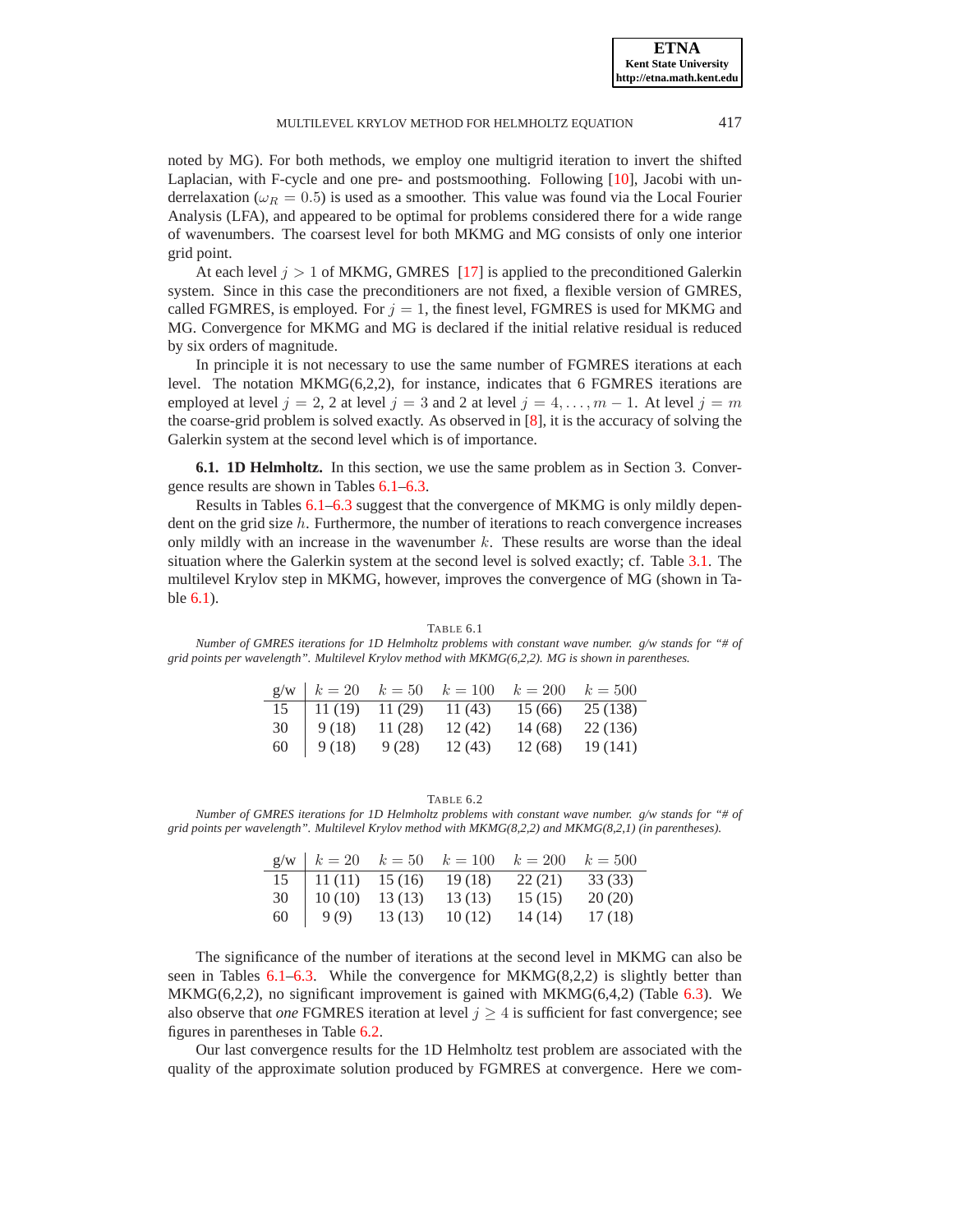**ETNA Kent State University http://etna.math.kent.edu**

noted by MG). For both methods, we employ one multigrid iteration to invert the shifted Laplacian, with F-cycle and one pre- and postsmoothing. Following [\[10\]](#page-21-6), Jacobi with underrelaxation ( $\omega_R = 0.5$ ) is used as a smoother. This value was found via the Local Fourier Analysis (LFA), and appeared to be optimal for problems considered there for a wide range of wavenumbers. The coarsest level for both MKMG and MG consists of only one interior grid point.

At each level  $j > 1$  of MKMG, GMRES [\[17\]](#page-21-14) is applied to the preconditioned Galerkin system. Since in this case the preconditioners are not fixed, a flexible version of GMRES, called FGMRES, is employed. For  $j = 1$ , the finest level, FGMRES is used for MKMG and MG. Convergence for MKMG and MG is declared if the initial relative residual is reduced by six orders of magnitude.

In principle it is not necessary to use the same number of FGMRES iterations at each level. The notation  $MKMG(6,2,2)$ , for instance, indicates that 6 FGMRES iterations are employed at level  $j = 2, 2$  at level  $j = 3$  and 2 at level  $j = 4, \ldots, m - 1$ . At level  $j = m$ the coarse-grid problem is solved exactly. As observed in [\[8\]](#page-20-2), it is the accuracy of solving the Galerkin system at the second level which is of importance.

**6.1. 1D Helmholtz.** In this section, we use the same problem as in Section 3. Convergence results are shown in Tables [6.1–](#page-14-0)[6.3.](#page-15-0)

Results in Tables [6.1–](#page-14-0)[6.3](#page-15-0) suggest that the convergence of MKMG is only mildly dependent on the grid size  $h$ . Furthermore, the number of iterations to reach convergence increases only mildly with an increase in the wavenumber  $k$ . These results are worse than the ideal situation where the Galerkin system at the second level is solved exactly; cf. Table [3.1.](#page-8-2) The multilevel Krylov step in MKMG, however, improves the convergence of MG (shown in Table [6.1\)](#page-14-0).

<span id="page-14-0"></span>

| grid points per wavelength". Multilevel Krylov method with $MKMG(6,2,2)$ . MG is shown in parentheses. |  |                                                                               |  |  |
|--------------------------------------------------------------------------------------------------------|--|-------------------------------------------------------------------------------|--|--|
|                                                                                                        |  | $g/w \mid k = 20 \quad k = 50 \quad k = 100 \quad k = 200 \quad k = 500$      |  |  |
|                                                                                                        |  | $15 \begin{array}{ l} 11 \ (19) \end{array}$ 11 (29) 11 (43) 15 (66) 25 (138) |  |  |
|                                                                                                        |  | 30   $9(18)$ 11 (28) 12 (42) 14 (68) 22 (136)                                 |  |  |
|                                                                                                        |  | 60   $9(18)$ $9(28)$ $12(43)$ $12(68)$ $19(141)$                              |  |  |

TABLE 6.1 *Number of GMRES iterations for 1D Helmholtz problems with constant wave number. g/w stands for "# of*

<span id="page-14-1"></span>TABLE 6.2 *Number of GMRES iterations for 1D Helmholtz problems with constant wave number. g/w stands for "# of grid points per wavelength". Multilevel Krylov method with MKMG(8,2,2) and MKMG(8,2,1) (in parentheses).*

|    |        |        | $g/w \mid k = 20 \quad k = 50 \quad k = 100$ | $k=200$ | $k = 500$ |
|----|--------|--------|----------------------------------------------|---------|-----------|
| 15 | 11(11) | 15(16) | 19(18)                                       | 22(21)  | 33 (33)   |
| 30 | 10(10) | 13(13) | 13 (13)                                      | 15(15)  | 20(20)    |
| 60 | 9(9)   | 13(13) | 10(12)                                       | 14 (14) | 17(18)    |

The significance of the number of iterations at the second level in MKMG can also be seen in Tables  $6.1-6.3$ . While the convergence for  $MKMG(8,2,2)$  is slightly better than  $MKMG(6,2,2)$ , no significant improvement is gained with  $MKMG(6,4,2)$  (Table [6.3\)](#page-15-0). We also observe that *one* FGMRES iteration at level  $j \geq 4$  is sufficient for fast convergence; see figures in parentheses in Table [6.2.](#page-14-1)

Our last convergence results for the 1D Helmholtz test problem are associated with the quality of the approximate solution produced by FGMRES at convergence. Here we com-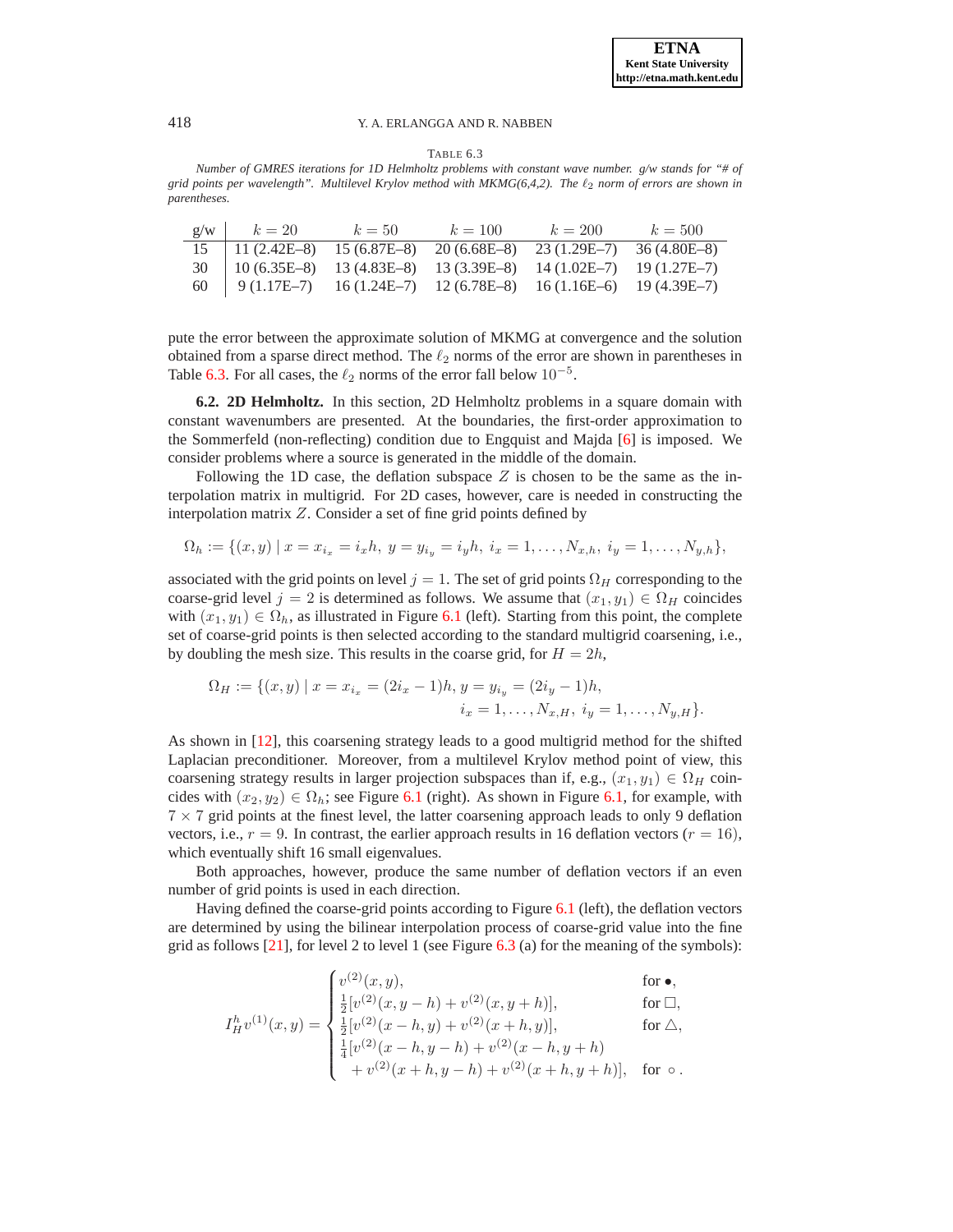TABLE 6.3

<span id="page-15-0"></span>*Number of GMRES iterations for 1D Helmholtz problems with constant wave number. g/w stands for "# of grid points per wavelength". Multilevel Krylov method with MKMG(6,4,2). The* ℓ<sup>2</sup> *norm of errors are shown in parentheses.*

|    | $g/w \hspace{.08cm} k = 20$                                                                                   | $k=50$ | $k = 100$ | $k = 200$ | $k = 500$ |
|----|---------------------------------------------------------------------------------------------------------------|--------|-----------|-----------|-----------|
|    | $15 \quad 11 \ (2.42E-8) \quad 15 \ (6.87E-8) \quad 20 \ (6.68E-8) \quad 23 \ (1.29E-7) \quad 36 \ (4.80E-8)$ |        |           |           |           |
|    | $30 \mid 10(6.35E-8) \mid 13(4.83E-8) \mid 13(3.39E-8) \mid 14(1.02E-7) \mid 19(1.27E-7)$                     |        |           |           |           |
| 60 | $\vert$ 9 (1.17E-7) 16 (1.24E-7) 12 (6.78E-8) 16 (1.16E-6) 19 (4.39E-7)                                       |        |           |           |           |

pute the error between the approximate solution of MKMG at convergence and the solution obtained from a sparse direct method. The  $\ell_2$  norms of the error are shown in parentheses in Table [6.3.](#page-15-0) For all cases, the  $\ell_2$  norms of the error fall below  $10^{-5}$ .

**6.2. 2D Helmholtz.** In this section, 2D Helmholtz problems in a square domain with constant wavenumbers are presented. At the boundaries, the first-order approximation to the Sommerfeld (non-reflecting) condition due to Engquist and Majda [\[6\]](#page-20-7) is imposed. We consider problems where a source is generated in the middle of the domain.

Following the 1D case, the deflation subspace  $Z$  is chosen to be the same as the interpolation matrix in multigrid. For 2D cases, however, care is needed in constructing the interpolation matrix Z. Consider a set of fine grid points defined by

$$
\Omega_h := \{(x, y) \mid x = x_{i_x} = i_x h, \ y = y_{i_y} = i_y h, \ i_x = 1, \dots, N_{x,h}, \ i_y = 1, \dots, N_{y,h}\},\
$$

associated with the grid points on level  $j = 1$ . The set of grid points  $\Omega_H$  corresponding to the coarse-grid level  $j = 2$  is determined as follows. We assume that  $(x_1, y_1) \in \Omega_H$  coincides with  $(x_1, y_1) \in \Omega_h$ , as illustrated in Figure [6.1](#page-16-0) (left). Starting from this point, the complete set of coarse-grid points is then selected according to the standard multigrid coarsening, i.e., by doubling the mesh size. This results in the coarse grid, for  $H = 2h$ ,

$$
\Omega_H := \{ (x, y) \mid x = x_{i_x} = (2i_x - 1)h, y = y_{i_y} = (2i_y - 1)h, \n i_x = 1, \dots, N_{x,H}, i_y = 1, \dots, N_{y,H} \}.
$$

As shown in [\[12\]](#page-21-9), this coarsening strategy leads to a good multigrid method for the shifted Laplacian preconditioner. Moreover, from a multilevel Krylov method point of view, this coarsening strategy results in larger projection subspaces than if, e.g.,  $(x_1, y_1) \in \Omega_H$  coincides with  $(x_2, y_2) \in \Omega_h$ ; see Figure [6.1](#page-16-0) (right). As shown in Figure [6.1,](#page-16-0) for example, with  $7 \times 7$  grid points at the finest level, the latter coarsening approach leads to only 9 deflation vectors, i.e.,  $r = 9$ . In contrast, the earlier approach results in 16 deflation vectors ( $r = 16$ ), which eventually shift 16 small eigenvalues.

Both approaches, however, produce the same number of deflation vectors if an even number of grid points is used in each direction.

Having defined the coarse-grid points according to Figure [6.1](#page-16-0) (left), the deflation vectors are determined by using the bilinear interpolation process of coarse-grid value into the fine grid as follows  $[21]$ , for level 2 to level 1 (see Figure [6.3](#page-17-0) (a) for the meaning of the symbols):

 $\epsilon$  in

$$
I_H^h v^{(1)}(x, y) = \begin{cases} v^{(2)}(x, y), & \text{for } \bullet, \\ \frac{1}{2} [v^{(2)}(x, y - h) + v^{(2)}(x, y + h)], & \text{for } \Box, \\ \frac{1}{2} [v^{(2)}(x - h, y) + v^{(2)}(x + h, y)], & \text{for } \triangle, \\ \frac{1}{4} [v^{(2)}(x - h, y - h) + v^{(2)}(x - h, y + h)] & \text{for } \circ. \end{cases}
$$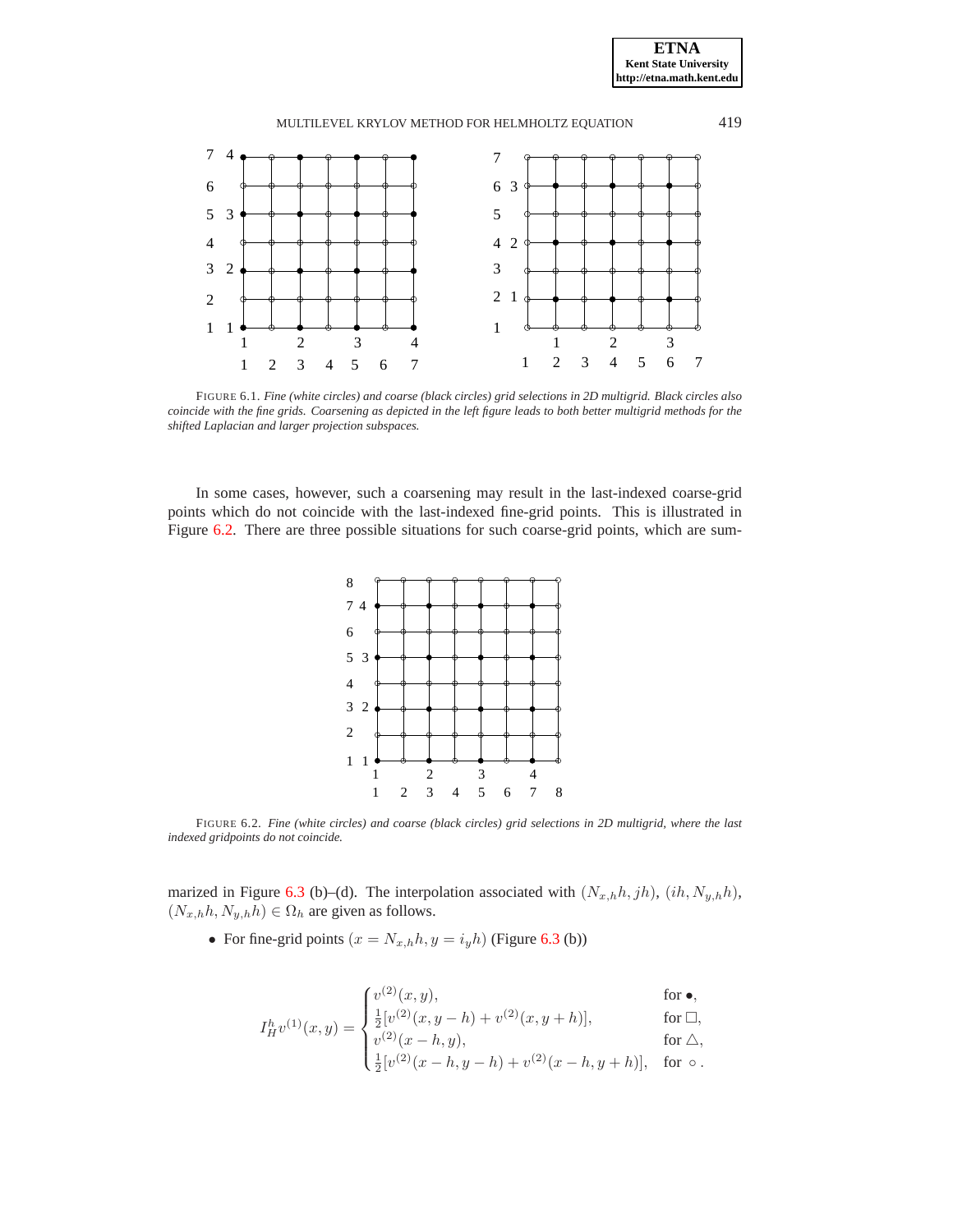**ETNA Kent State University http://etna.math.kent.edu**



<span id="page-16-0"></span>FIGURE 6.1. *Fine (white circles) and coarse (black circles) grid selections in 2D multigrid. Black circles also coincide with the fine grids. Coarsening as depicted in the left figure leads to both better multigrid methods for the shifted Laplacian and larger projection subspaces.*

In some cases, however, such a coarsening may result in the last-indexed coarse-grid points which do not coincide with the last-indexed fine-grid points. This is illustrated in Figure [6.2.](#page-16-1) There are three possible situations for such coarse-grid points, which are sum-



<span id="page-16-1"></span>FIGURE 6.2. *Fine (white circles) and coarse (black circles) grid selections in 2D multigrid, where the last indexed gridpoints do not coincide.*

marized in Figure [6.3](#page-17-0) (b)–(d). The interpolation associated with  $(N_{x,h}h, jh)$ ,  $(ih, N_{y,h}h)$ ,  $(N_{x,h}h, N_{y,h}h) \in \Omega_h$  are given as follows.

• For fine-grid points  $(x = N_{x,h}h, y = i_yh)$  (Figure [6.3](#page-17-0) (b))

$$
\int_{\frac{h}{H}v^{(1)}(x,y)}^{\frac{h}{2}v^{(2)}(x,y),} \text{ for } \bullet,
$$
\n
$$
\int_{\frac{h}{2}v^{(1)}(x,y)}^{\frac{h}{2}v^{(2)}(x,y,h)} f(v^{(2)}(x,y+h)) dx, \text{ for } \Box,
$$

$$
I_H^h v^{(1)}(x, y) = \begin{cases} \frac{1}{2} [v^{(1)}(x, y - h) + v^{(1)}(x, y + h)], & \text{for } \Delta, \\ v^{(2)}(x - h, y), & \text{for } \Delta, \\ \frac{1}{2} [v^{(2)}(x - h, y - h) + v^{(2)}(x - h, y + h)], & \text{for } \Delta, \end{cases}
$$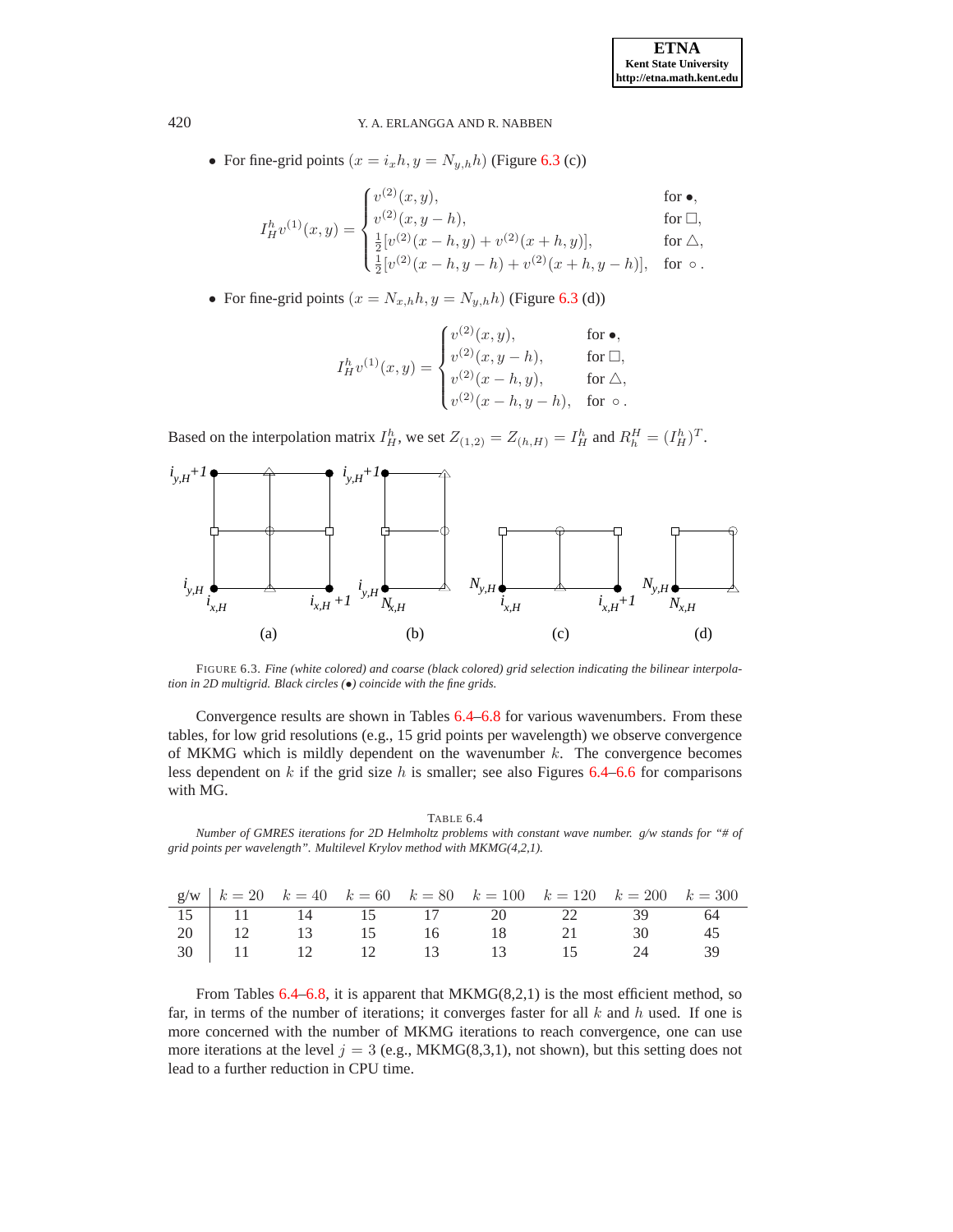• For fine-grid points  $(x = i_x h, y = N_{y,h}h)$  (Figure [6.3](#page-17-0) (c))

$$
\int v^{(2)}(x,y), \qquad \qquad \text{for } \bullet,
$$

$$
I_H^h v^{(1)}(x, y) = \begin{cases} v^{(2)}(x, y), & \text{for } \square, \\ v^{(2)}(x, y - h), & \text{for } \square, \\ \frac{1}{2} [v^{(2)}(x - h, y) + v^{(2)}(x + h, y)], & \text{for } \triangle, \\ \frac{1}{2} [v^{(2)}(x - h, y - h) + v^{(2)}(x + h, y - h)], & \text{for } \circ. \end{cases}
$$

• For fine-grid points  $(x = N_{x,h}h, y = N_{y,h}h)$  (Figure [6.3](#page-17-0) (d))

$$
I^h_{H}v^{(1)}(x,y)=\begin{cases} v^{(2)}(x,y),&\text{for}\ \bullet,\\ v^{(2)}(x,y-h),&\text{for}\ \Box,\\ v^{(2)}(x-h,y),&\text{for}\ \triangle,\\ v^{(2)}(x-h,y-h),&\text{for}\ \circ\,. \end{cases}
$$

Based on the interpolation matrix  $I_H^h$ , we set  $Z_{(1,2)} = Z_{(h,H)} = I_H^h$  and  $R_h^H = (I_H^h)^T$ .



<span id="page-17-0"></span>FIGURE 6.3. *Fine (white colored) and coarse (black colored) grid selection indicating the bilinear interpolation in 2D multigrid. Black circles (*•*) coincide with the fine grids.*

Convergence results are shown in Tables [6.4](#page-17-1)[–6.8](#page-18-0) for various wavenumbers. From these tables, for low grid resolutions (e.g., 15 grid points per wavelength) we observe convergence of MKMG which is mildly dependent on the wavenumber  $k$ . The convergence becomes less dependent on k if the grid size h is smaller; see also Figures  $6.4-6.6$  $6.4-6.6$  for comparisons with MG.

TABLE 6.4

<span id="page-17-1"></span>*Number of GMRES iterations for 2D Helmholtz problems with constant wave number. g/w stands for "# of grid points per wavelength". Multilevel Krylov method with MKMG(4,2,1).*

|  |  | $g/w \mid k = 20$ $k = 40$ $k = 60$ $k = 80$ $k = 100$ $k = 120$ $k = 200$ $k = 300$   |  |  |
|--|--|----------------------------------------------------------------------------------------|--|--|
|  |  |                                                                                        |  |  |
|  |  |                                                                                        |  |  |
|  |  | 15 11 14 15 17 20 22 39 64<br>20 12 13 15 16 18 21 30 45<br>30 11 12 12 13 13 15 24 39 |  |  |

From Tables [6.4–](#page-17-1)[6.8,](#page-18-0) it is apparent that MKMG(8,2,1) is the most efficient method, so far, in terms of the number of iterations; it converges faster for all  $k$  and  $h$  used. If one is more concerned with the number of MKMG iterations to reach convergence, one can use more iterations at the level  $j = 3$  (e.g., MKMG(8,3,1), not shown), but this setting does not lead to a further reduction in CPU time.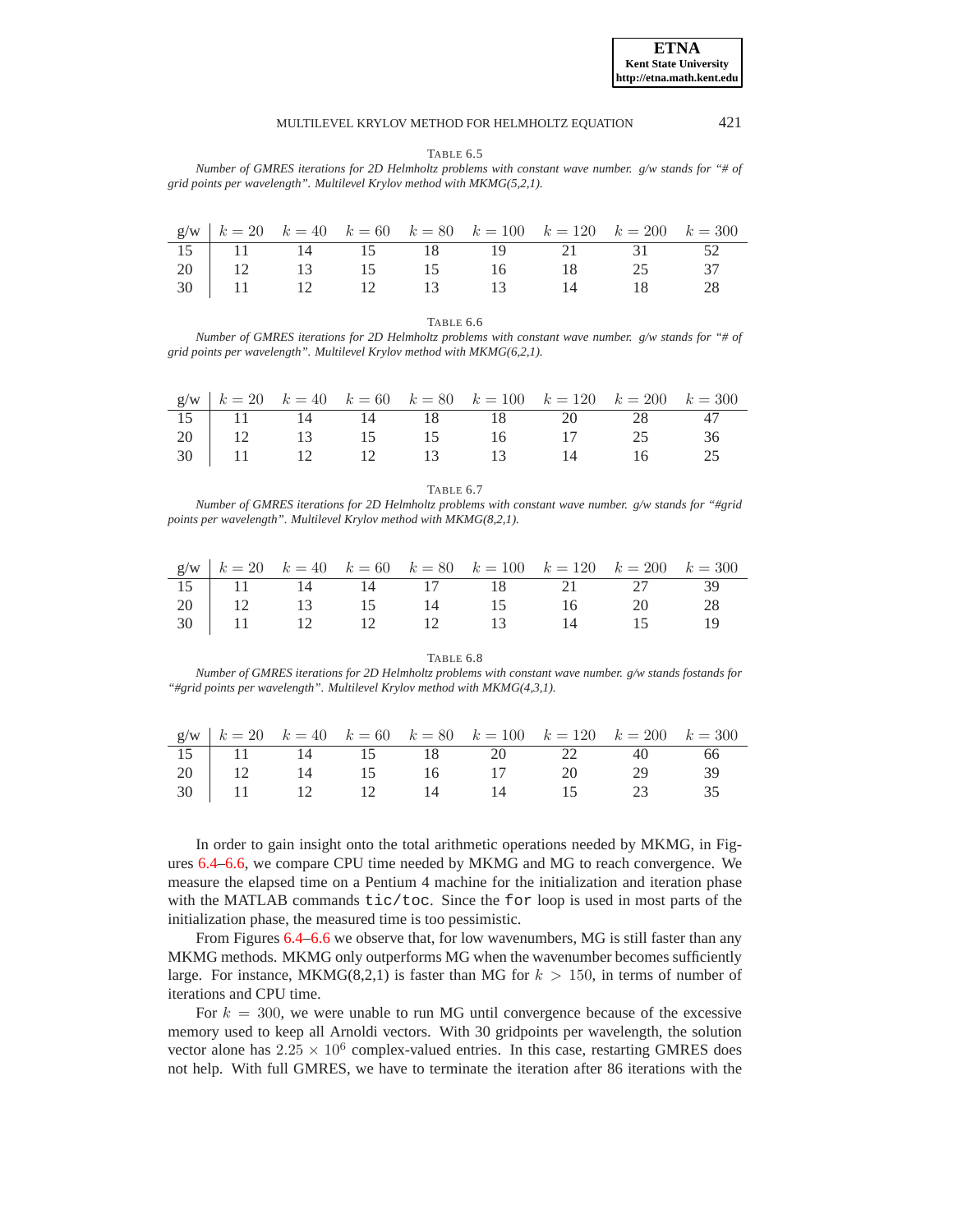TABLE 6.5

*Number of GMRES iterations for 2D Helmholtz problems with constant wave number. g/w stands for "# of grid points per wavelength". Multilevel Krylov method with MKMG(5,2,1).*

|  |  | $g/w \mid k = 20$ $k = 40$ $k = 60$ $k = 80$ $k = 100$ $k = 120$ $k = 200$ $k = 300$ |  |  |
|--|--|--------------------------------------------------------------------------------------|--|--|
|  |  | 15   11 14 15 18 19 21 31 52                                                         |  |  |
|  |  | 20   12 13 15 15 16 18 25 37                                                         |  |  |
|  |  | 30   11   12   12   13   13   14   18   28                                           |  |  |

TABLE 6.6

*Number of GMRES iterations for 2D Helmholtz problems with constant wave number. g/w stands for "# of grid points per wavelength". Multilevel Krylov method with MKMG(6,2,1).*

|  |  |  | $g/w \mid k = 20$ $k = 40$ $k = 60$ $k = 80$ $k = 100$ $k = 120$ $k = 200$ $k = 300$ |  |
|--|--|--|--------------------------------------------------------------------------------------|--|
|  |  |  | 15   11 14 14 18 18 20 28 47                                                         |  |
|  |  |  | 20   12 13 15 15 16 17 25 36                                                         |  |
|  |  |  | 30   11 12 12 13 13 14 16                                                            |  |

TABLE 6.7 *Number of GMRES iterations for 2D Helmholtz problems with constant wave number. g/w stands for "#grid points per wavelength". Multilevel Krylov method with MKMG(8,2,1).*

|  |  | $g/w \mid k = 20$ $k = 40$ $k = 60$ $k = 80$ $k = 100$ $k = 120$ $k = 200$ $k = 300$ |                                                          |  |
|--|--|--------------------------------------------------------------------------------------|----------------------------------------------------------|--|
|  |  | 15 11 14 14 17 18 21 27 39                                                           |                                                          |  |
|  |  |                                                                                      |                                                          |  |
|  |  |                                                                                      | 20 12 13 15 14 15 16 20 28<br>30 11 12 12 12 13 14 15 16 |  |

TABLE 6.8

<span id="page-18-0"></span>*Number of GMRES iterations for 2D Helmholtz problems with constant wave number. g/w stands fostands for "#grid points per wavelength". Multilevel Krylov method with MKMG(4,3,1).*

|  |  | $g/w$   $k = 20$ $k = 40$ $k = 60$ $k = 80$ $k = 100$ $k = 120$ $k = 200$ $k = 300$    |  |  |
|--|--|----------------------------------------------------------------------------------------|--|--|
|  |  |                                                                                        |  |  |
|  |  |                                                                                        |  |  |
|  |  | 15 11 14 15 18 20 22 40 66<br>20 12 14 15 16 17 20 29 39<br>30 11 12 12 14 14 15 23 35 |  |  |

In order to gain insight onto the total arithmetic operations needed by MKMG, in Figures [6.4–](#page-19-0)[6.6,](#page-20-8) we compare CPU time needed by MKMG and MG to reach convergence. We measure the elapsed time on a Pentium 4 machine for the initialization and iteration phase with the MATLAB commands tic/toc. Since the for loop is used in most parts of the initialization phase, the measured time is too pessimistic.

From Figures [6.4–](#page-19-0)[6.6](#page-20-8) we observe that, for low wavenumbers, MG is still faster than any MKMG methods. MKMG only outperforms MG when the wavenumber becomes sufficiently large. For instance, MKMG(8,2,1) is faster than MG for  $k > 150$ , in terms of number of iterations and CPU time.

For  $k = 300$ , we were unable to run MG until convergence because of the excessive memory used to keep all Arnoldi vectors. With 30 gridpoints per wavelength, the solution vector alone has  $2.25 \times 10^6$  complex-valued entries. In this case, restarting GMRES does not help. With full GMRES, we have to terminate the iteration after 86 iterations with the

**ETNA Kent State University http://etna.math.kent.edu**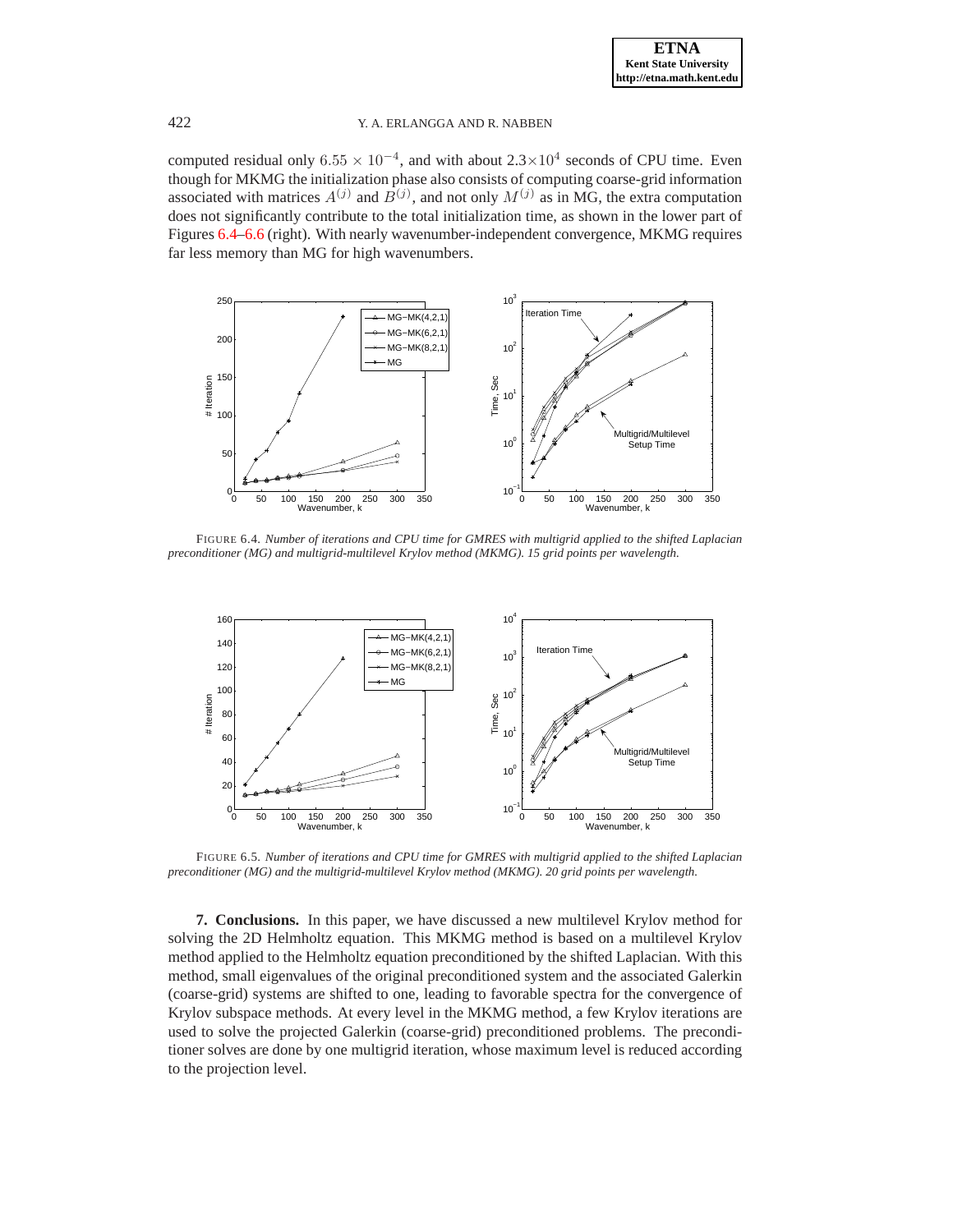computed residual only  $6.55 \times 10^{-4}$ , and with about  $2.3 \times 10^{4}$  seconds of CPU time. Even though for MKMG the initialization phase also consists of computing coarse-grid information associated with matrices  $A^{(j)}$  and  $B^{(j)}$ , and not only  $M^{(j)}$  as in MG, the extra computation does not significantly contribute to the total initialization time, as shown in the lower part of Figures [6.4](#page-19-0)[–6.6](#page-20-8) (right). With nearly wavenumber-independent convergence, MKMG requires far less memory than MG for high wavenumbers.



<span id="page-19-0"></span>FIGURE 6.4. *Number of iterations and CPU time for GMRES with multigrid applied to the shifted Laplacian preconditioner (MG) and multigrid-multilevel Krylov method (MKMG). 15 grid points per wavelength.*



FIGURE 6.5. *Number of iterations and CPU time for GMRES with multigrid applied to the shifted Laplacian preconditioner (MG) and the multigrid-multilevel Krylov method (MKMG). 20 grid points per wavelength.*

**7. Conclusions.** In this paper, we have discussed a new multilevel Krylov method for solving the 2D Helmholtz equation. This MKMG method is based on a multilevel Krylov method applied to the Helmholtz equation preconditioned by the shifted Laplacian. With this method, small eigenvalues of the original preconditioned system and the associated Galerkin (coarse-grid) systems are shifted to one, leading to favorable spectra for the convergence of Krylov subspace methods. At every level in the MKMG method, a few Krylov iterations are used to solve the projected Galerkin (coarse-grid) preconditioned problems. The preconditioner solves are done by one multigrid iteration, whose maximum level is reduced according to the projection level.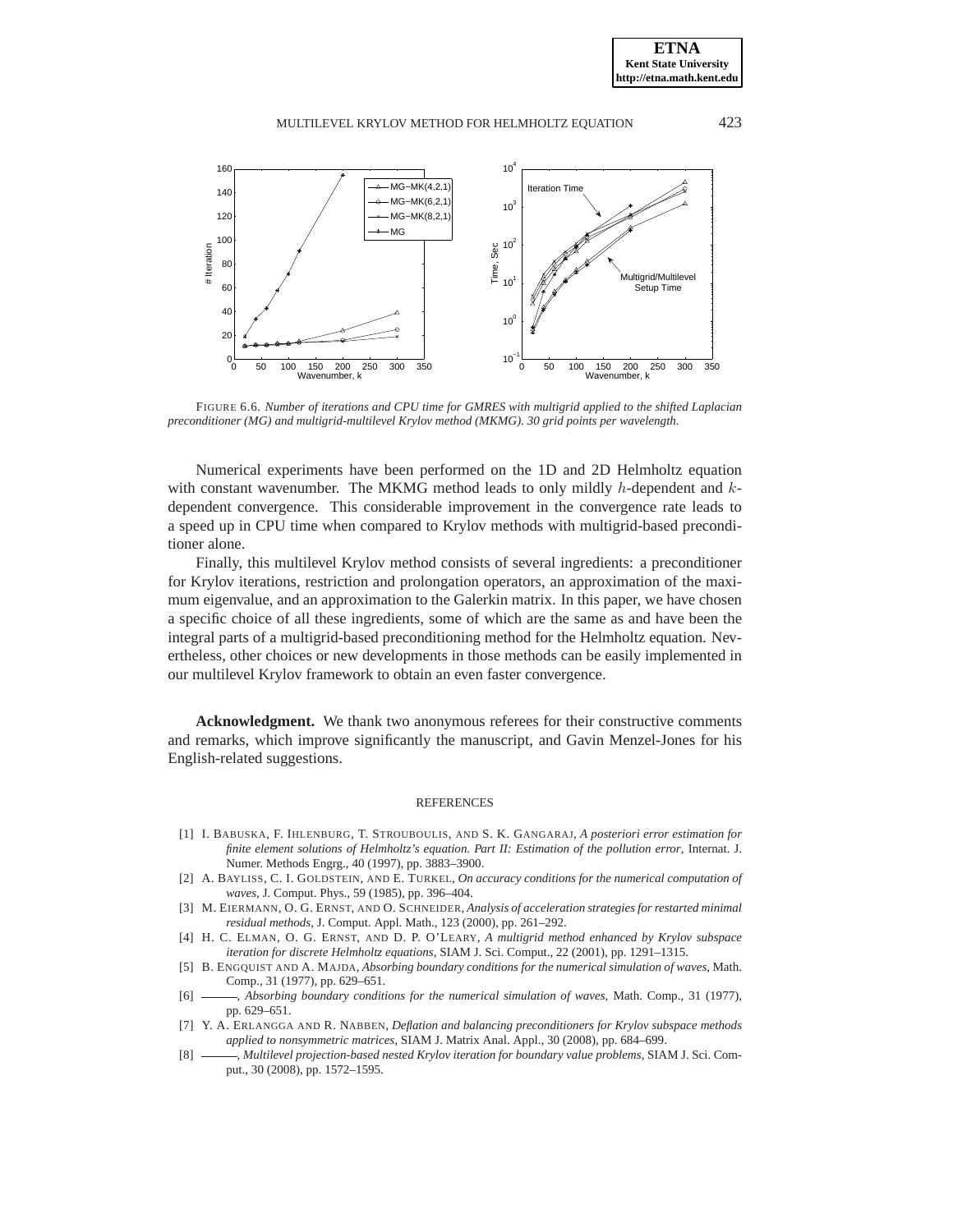

<span id="page-20-8"></span>FIGURE 6.6. *Number of iterations and CPU time for GMRES with multigrid applied to the shifted Laplacian preconditioner (MG) and multigrid-multilevel Krylov method (MKMG). 30 grid points per wavelength.*

Numerical experiments have been performed on the 1D and 2D Helmholtz equation with constant wavenumber. The MKMG method leads to only mildly  $h$ -dependent and  $k$ dependent convergence. This considerable improvement in the convergence rate leads to a speed up in CPU time when compared to Krylov methods with multigrid-based preconditioner alone.

Finally, this multilevel Krylov method consists of several ingredients: a preconditioner for Krylov iterations, restriction and prolongation operators, an approximation of the maximum eigenvalue, and an approximation to the Galerkin matrix. In this paper, we have chosen a specific choice of all these ingredients, some of which are the same as and have been the integral parts of a multigrid-based preconditioning method for the Helmholtz equation. Nevertheless, other choices or new developments in those methods can be easily implemented in our multilevel Krylov framework to obtain an even faster convergence.

**Acknowledgment.** We thank two anonymous referees for their constructive comments and remarks, which improve significantly the manuscript, and Gavin Menzel-Jones for his English-related suggestions.

### **REFERENCES**

- <span id="page-20-6"></span>[1] I. BABUSKA, F. IHLENBURG, T. STROUBOULIS, AND S. K. GANGARAJ, *A posteriori error estimation for finite element solutions of Helmholtz's equation. Part II: Estimation of the pollution error*, Internat. J. Numer. Methods Engrg., 40 (1997), pp. 3883–3900.
- <span id="page-20-5"></span>[2] A. BAYLISS, C. I. GOLDSTEIN, AND E. TURKEL, *On accuracy conditions for the numerical computation of waves*, J. Comput. Phys., 59 (1985), pp. 396–404.
- <span id="page-20-0"></span>[3] M. EIERMANN, O. G. ERNST, AND O. SCHNEIDER, *Analysis of acceleration strategies for restarted minimal residual methods*, J. Comput. Appl. Math., 123 (2000), pp. 261–292.
- <span id="page-20-3"></span>[4] H. C. ELMAN, O. G. ERNST, AND D. P. O'LEARY, *A multigrid method enhanced by Krylov subspace iteration for discrete Helmholtz equations*, SIAM J. Sci. Comput., 22 (2001), pp. 1291–1315.
- <span id="page-20-4"></span>[5] B. ENGQUIST AND A. MAJDA, *Absorbing boundary conditions for the numerical simulation of waves*, Math. Comp., 31 (1977), pp. 629–651.
- <span id="page-20-7"></span>[6] , *Absorbing boundary conditions for the numerical simulation of waves*, Math. Comp., 31 (1977), pp. 629–651.
- <span id="page-20-1"></span>[7] Y. A. ERLANGGA AND R. NABBEN, *Deflation and balancing preconditioners for Krylov subspace methods applied to nonsymmetric matrices*, SIAM J. Matrix Anal. Appl., 30 (2008), pp. 684–699.
- <span id="page-20-2"></span>[8] , *Multilevel projection-based nested Krylov iteration for boundary value problems*, SIAM J. Sci. Comput., 30 (2008), pp. 1572–1595.

**ETNA Kent State University http://etna.math.kent.edu**